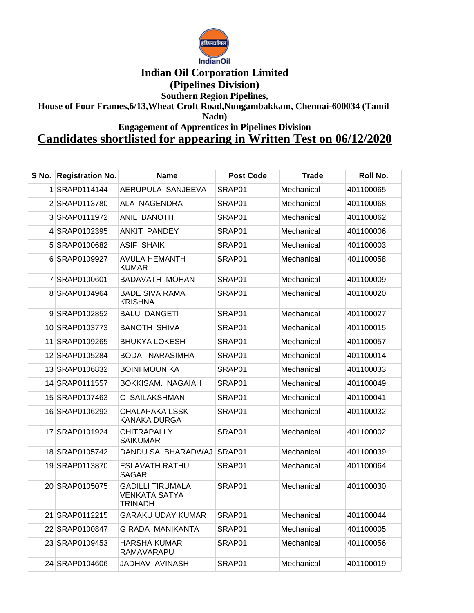

## **Indian Oil Corporation Limited**

**(Pipelines Division)**

**Southern Region Pipelines,**

**House of Four Frames,6/13,Wheat Croft Road,Nungambakkam, Chennai-600034 (Tamil** 

**Nadu)**

**Engagement of Apprentices in Pipelines Division**

## **Candidates shortlisted for appearing in Written Test on 06/12/2020**

| S No. Registration No. | <b>Name</b>                                                       | <b>Post Code</b> | Trade      | Roll No.  |
|------------------------|-------------------------------------------------------------------|------------------|------------|-----------|
| 1 SRAP0114144          | AERUPULA SANJEEVA                                                 | SRAP01           | Mechanical | 401100065 |
| 2 SRAP0113780          | ALA NAGENDRA                                                      | SRAP01           | Mechanical | 401100068 |
| 3 SRAP0111972          | ANIL BANOTH                                                       | SRAP01           | Mechanical | 401100062 |
| 4 SRAP0102395          | ANKIT PANDEY                                                      | SRAP01           | Mechanical | 401100006 |
| 5 SRAP0100682          | <b>ASIF SHAIK</b>                                                 | SRAP01           | Mechanical | 401100003 |
| 6 SRAP0109927          | <b>AVULA HEMANTH</b><br><b>KUMAR</b>                              | SRAP01           | Mechanical | 401100058 |
| 7 SRAP0100601          | <b>BADAVATH MOHAN</b>                                             | SRAP01           | Mechanical | 401100009 |
| 8 SRAP0104964          | <b>BADE SIVA RAMA</b><br><b>KRISHNA</b>                           | SRAP01           | Mechanical | 401100020 |
| 9 SRAP0102852          | <b>BALU DANGETI</b>                                               | SRAP01           | Mechanical | 401100027 |
| 10 SRAP0103773         | <b>BANOTH SHIVA</b>                                               | SRAP01           | Mechanical | 401100015 |
| 11 SRAP0109265         | <b>BHUKYA LOKESH</b>                                              | SRAP01           | Mechanical | 401100057 |
| 12 SRAP0105284         | <b>BODA. NARASIMHA</b>                                            | SRAP01           | Mechanical | 401100014 |
| 13 SRAP0106832         | <b>BOINI MOUNIKA</b>                                              | SRAP01           | Mechanical | 401100033 |
| 14 SRAP0111557         | BOKKISAM. NAGAIAH                                                 | SRAP01           | Mechanical | 401100049 |
| 15 SRAP0107463         | C SAILAKSHMAN                                                     | SRAP01           | Mechanical | 401100041 |
| 16 SRAP0106292         | <b>CHALAPAKA LSSK</b><br><b>KANAKA DURGA</b>                      | SRAP01           | Mechanical | 401100032 |
| 17 SRAP0101924         | <b>CHITRAPALLY</b><br><b>SAIKUMAR</b>                             | SRAP01           | Mechanical | 401100002 |
| 18 SRAP0105742         | DANDU SAI BHARADWAJ                                               | SRAP01           | Mechanical | 401100039 |
| 19 SRAP0113870         | <b>ESLAVATH RATHU</b><br><b>SAGAR</b>                             | SRAP01           | Mechanical | 401100064 |
| 20 SRAP0105075         | <b>GADILLI TIRUMALA</b><br><b>VENKATA SATYA</b><br><b>TRINADH</b> | SRAP01           | Mechanical | 401100030 |
| 21 SRAP0112215         | GARAKU UDAY KUMAR                                                 | SRAP01           | Mechanical | 401100044 |
| 22 SRAP0100847         | <b>GIRADA MANIKANTA</b>                                           | SRAP01           | Mechanical | 401100005 |
| 23 SRAP0109453         | <b>HARSHA KUMAR</b><br>RAMAVARAPU                                 | SRAP01           | Mechanical | 401100056 |
| 24 SRAP0104606         | JADHAV AVINASH                                                    | SRAP01           | Mechanical | 401100019 |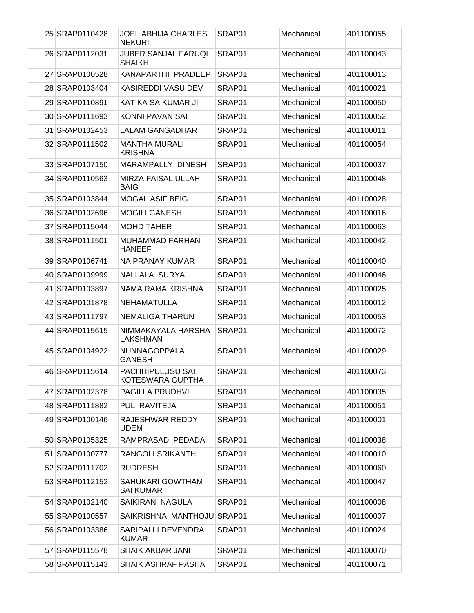| 25 SRAP0110428 | <b>JOEL ABHIJA CHARLES</b><br><b>NEKURI</b> | SRAP01 | Mechanical | 401100055 |
|----------------|---------------------------------------------|--------|------------|-----------|
| 26 SRAP0112031 | <b>JUBER SANJAL FARUQI</b><br><b>SHAIKH</b> | SRAP01 | Mechanical | 401100043 |
| 27 SRAP0100528 | KANAPARTHI PRADEEP                          | SRAP01 | Mechanical | 401100013 |
| 28 SRAP0103404 | <b>KASIREDDI VASU DEV</b>                   | SRAP01 | Mechanical | 401100021 |
| 29 SRAP0110891 | KATIKA SAIKUMAR JI                          | SRAP01 | Mechanical | 401100050 |
| 30 SRAP0111693 | KONNI PAVAN SAI                             | SRAP01 | Mechanical | 401100052 |
| 31 SRAP0102453 | LALAM GANGADHAR                             | SRAP01 | Mechanical | 401100011 |
| 32 SRAP0111502 | <b>MANTHA MURALI</b><br><b>KRISHNA</b>      | SRAP01 | Mechanical | 401100054 |
| 33 SRAP0107150 | MARAMPALLY DINESH                           | SRAP01 | Mechanical | 401100037 |
| 34 SRAP0110563 | <b>MIRZA FAISAL ULLAH</b><br><b>BAIG</b>    | SRAP01 | Mechanical | 401100048 |
| 35 SRAP0103844 | <b>MOGAL ASIF BEIG</b>                      | SRAP01 | Mechanical | 401100028 |
| 36 SRAP0102696 | <b>MOGILI GANESH</b>                        | SRAP01 | Mechanical | 401100016 |
| 37 SRAP0115044 | <b>MOHD TAHER</b>                           | SRAP01 | Mechanical | 401100063 |
| 38 SRAP0111501 | <b>MUHAMMAD FARHAN</b><br><b>HANEEF</b>     | SRAP01 | Mechanical | 401100042 |
| 39 SRAP0106741 | NA PRANAY KUMAR                             | SRAP01 | Mechanical | 401100040 |
| 40 SRAP0109999 | NALLALA SURYA                               | SRAP01 | Mechanical | 401100046 |
| 41 SRAP0103897 | NAMA RAMA KRISHNA                           | SRAP01 | Mechanical | 401100025 |
| 42 SRAP0101878 | NEHAMATULLA                                 | SRAP01 | Mechanical | 401100012 |
| 43 SRAP0111797 | <b>NEMALIGA THARUN</b>                      | SRAP01 | Mechanical | 401100053 |
| 44 SRAP0115615 | NIMMAKAYALA HARSHA<br>LAKSHMAN              | SRAP01 | Mechanical | 401100072 |
| 45 SRAP0104922 | <b>NUNNAGOPPALA</b><br><b>GANESH</b>        | SRAP01 | Mechanical | 401100029 |
| 46 SRAP0115614 | PACHHIPULUSU SAI<br>KOTESWARA GUPTHA        | SRAP01 | Mechanical | 401100073 |
| 47 SRAP0102378 | PAGILLA PRUDHVI                             | SRAP01 | Mechanical | 401100035 |
| 48 SRAP0111882 | PULI RAVITEJA                               | SRAP01 | Mechanical | 401100051 |
| 49 SRAP0100146 | RAJESHWAR REDDY<br><b>UDEM</b>              | SRAP01 | Mechanical | 401100001 |
| 50 SRAP0105325 | RAMPRASAD PEDADA                            | SRAP01 | Mechanical | 401100038 |
| 51 SRAP0100777 | <b>RANGOLI SRIKANTH</b>                     | SRAP01 | Mechanical | 401100010 |
| 52 SRAP0111702 | <b>RUDRESH</b>                              | SRAP01 | Mechanical | 401100060 |
| 53 SRAP0112152 | SAHUKARI GOWTHAM<br><b>SAI KUMAR</b>        | SRAP01 | Mechanical | 401100047 |
| 54 SRAP0102140 | SAIKIRAN NAGULA                             | SRAP01 | Mechanical | 401100008 |
| 55 SRAP0100557 | SAIKRISHNA MANTHOJU                         | SRAP01 | Mechanical | 401100007 |
| 56 SRAP0103386 | SARIPALLI DEVENDRA<br><b>KUMAR</b>          | SRAP01 | Mechanical | 401100024 |
| 57 SRAP0115578 | SHAIK AKBAR JANI                            | SRAP01 | Mechanical | 401100070 |
| 58 SRAP0115143 | SHAIK ASHRAF PASHA                          | SRAP01 | Mechanical | 401100071 |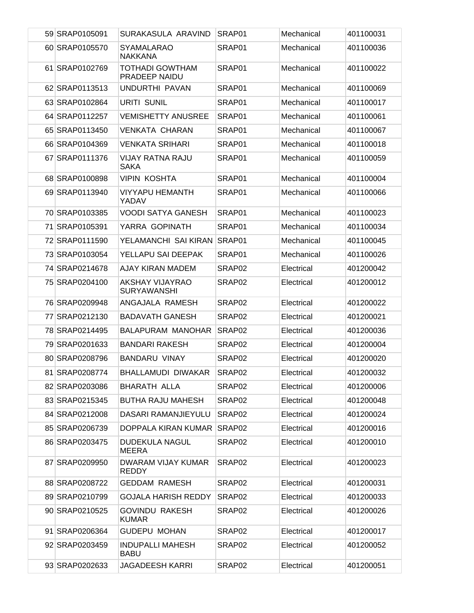| 59 SRAP0105091 | SURAKASULA ARAVIND                           | SRAP01             | Mechanical | 401100031 |
|----------------|----------------------------------------------|--------------------|------------|-----------|
| 60 SRAP0105570 | <b>SYAMALARAO</b><br><b>NAKKANA</b>          | SRAP01             | Mechanical | 401100036 |
| 61 SRAP0102769 | <b>TOTHADI GOWTHAM</b><br>PRADEEP NAIDU      | SRAP01             | Mechanical | 401100022 |
| 62 SRAP0113513 | UNDURTHI PAVAN                               | SRAP01             | Mechanical | 401100069 |
| 63 SRAP0102864 | <b>URITI SUNIL</b>                           | SRAP01             | Mechanical | 401100017 |
| 64 SRAP0112257 | <b>VEMISHETTY ANUSREE</b>                    | SRAP01             | Mechanical | 401100061 |
| 65 SRAP0113450 | <b>VENKATA CHARAN</b>                        | SRAP01             | Mechanical | 401100067 |
| 66 SRAP0104369 | <b>VENKATA SRIHARI</b>                       | SRAP01             | Mechanical | 401100018 |
| 67 SRAP0111376 | <b>VIJAY RATNA RAJU</b><br><b>SAKA</b>       | SRAP01             | Mechanical | 401100059 |
| 68 SRAP0100898 | <b>VIPIN KOSHTA</b>                          | SRAP01             | Mechanical | 401100004 |
| 69 SRAP0113940 | <b>VIYYAPU HEMANTH</b><br>YADAV              | SRAP01             | Mechanical | 401100066 |
| 70 SRAP0103385 | <b>VOODI SATYA GANESH</b>                    | SRAP01             | Mechanical | 401100023 |
| 71 SRAP0105391 | YARRA GOPINATH                               | SRAP01             | Mechanical | 401100034 |
| 72 SRAP0111590 | YELAMANCHI SAI KIRAN                         | SRAP01             | Mechanical | 401100045 |
| 73 SRAP0103054 | YELLAPU SAI DEEPAK                           | SRAP01             | Mechanical | 401100026 |
| 74 SRAP0214678 | AJAY KIRAN MADEM                             | SRAP02             | Electrical | 401200042 |
| 75 SRAP0204100 | <b>AKSHAY VIJAYRAO</b><br><b>SURYAWANSHI</b> | SRAP02             | Electrical | 401200012 |
| 76 SRAP0209948 | ANGAJALA RAMESH                              | SRAP02             | Electrical | 401200022 |
| 77 SRAP0212130 | <b>BADAVATH GANESH</b>                       | SRAP02             | Electrical | 401200021 |
| 78 SRAP0214495 | <b>BALAPURAM MANOHAR</b>                     | SRAP <sub>02</sub> | Electrical | 401200036 |
| 79 SRAP0201633 | <b>BANDARI RAKESH</b>                        | SRAP02             | Electrical | 401200004 |
| 80 SRAP0208796 | <b>BANDARU VINAY</b>                         | SRAP <sub>02</sub> | Electrical | 401200020 |
| 81 SRAP0208774 | BHALLAMUDI DIWAKAR                           | SRAP02             | Electrical | 401200032 |
| 82 SRAP0203086 | BHARATH ALLA                                 | SRAP02             | Electrical | 401200006 |
| 83 SRAP0215345 | <b>BUTHA RAJU MAHESH</b>                     | SRAP02             | Electrical | 401200048 |
| 84 SRAP0212008 | DASARI RAMANJIEYULU                          | SRAP <sub>02</sub> | Electrical | 401200024 |
| 85 SRAP0206739 | DOPPALA KIRAN KUMAR                          | SRAP02             | Electrical | 401200016 |
| 86 SRAP0203475 | DUDEKULA NAGUL<br>MEERA                      | SRAP02             | Electrical | 401200010 |
| 87 SRAP0209950 | DWARAM VIJAY KUMAR<br><b>REDDY</b>           | SRAP02             | Electrical | 401200023 |
| 88 SRAP0208722 | <b>GEDDAM RAMESH</b>                         | SRAP02             | Electrical | 401200031 |
| 89 SRAP0210799 | GOJALA HARISH REDDY                          | SRAP02             | Electrical | 401200033 |
| 90 SRAP0210525 | <b>GOVINDU RAKESH</b><br><b>KUMAR</b>        | SRAP02             | Electrical | 401200026 |
| 91 SRAP0206364 | <b>GUDEPU MOHAN</b>                          | SRAP02             | Electrical | 401200017 |
| 92 SRAP0203459 | <b>INDUPALLI MAHESH</b><br><b>BABU</b>       | SRAP02             | Electrical | 401200052 |
| 93 SRAP0202633 | <b>JAGADEESH KARRI</b>                       | SRAP02             | Electrical | 401200051 |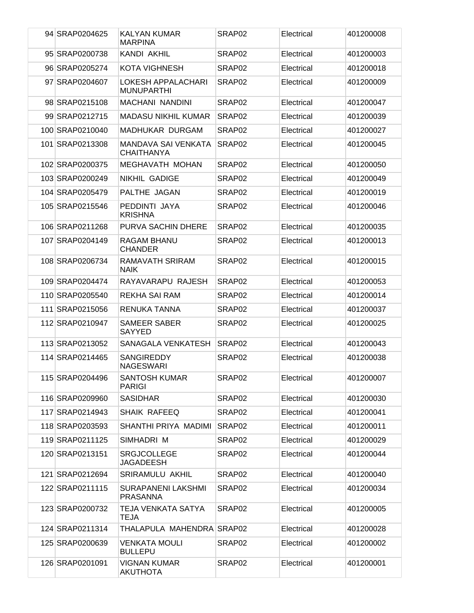| 94 SRAP0204625  | <b>KALYAN KUMAR</b><br><b>MARPINA</b>           | SRAP <sub>02</sub> | Electrical | 401200008 |
|-----------------|-------------------------------------------------|--------------------|------------|-----------|
| 95 SRAP0200738  | KANDI AKHIL                                     | SRAP <sub>02</sub> | Electrical | 401200003 |
| 96 SRAP0205274  | <b>KOTA VIGHNESH</b>                            | SRAP <sub>02</sub> | Electrical | 401200018 |
| 97 SRAP0204607  | <b>LOKESH APPALACHARI</b><br><b>MUNUPARTHI</b>  | SRAP <sub>02</sub> | Electrical | 401200009 |
| 98 SRAP0215108  | <b>MACHANI NANDINI</b>                          | SRAP <sub>02</sub> | Electrical | 401200047 |
| 99 SRAP0212715  | <b>MADASU NIKHIL KUMAR</b>                      | SRAP <sub>02</sub> | Electrical | 401200039 |
| 100 SRAP0210040 | MADHUKAR DURGAM                                 | SRAP <sub>02</sub> | Electrical | 401200027 |
| 101 SRAP0213308 | <b>MANDAVA SAI VENKATA</b><br><b>CHAITHANYA</b> | SRAP <sub>02</sub> | Electrical | 401200045 |
| 102 SRAP0200375 | <b>MEGHAVATH MOHAN</b>                          | SRAP <sub>02</sub> | Electrical | 401200050 |
| 103 SRAP0200249 | <b>NIKHIL GADIGE</b>                            | SRAP <sub>02</sub> | Electrical | 401200049 |
| 104 SRAP0205479 | PALTHE JAGAN                                    | SRAP <sub>02</sub> | Electrical | 401200019 |
| 105 SRAP0215546 | PEDDINTI JAYA<br><b>KRISHNA</b>                 | SRAP <sub>02</sub> | Electrical | 401200046 |
| 106 SRAP0211268 | <b>PURVA SACHIN DHERE</b>                       | SRAP02             | Electrical | 401200035 |
| 107 SRAP0204149 | RAGAM BHANU<br><b>CHANDER</b>                   | SRAP <sub>02</sub> | Electrical | 401200013 |
| 108 SRAP0206734 | RAMAVATH SRIRAM<br><b>NAIK</b>                  | SRAP <sub>02</sub> | Electrical | 401200015 |
| 109 SRAP0204474 | RAYAVARAPU RAJESH                               | SRAP <sub>02</sub> | Electrical | 401200053 |
| 110 SRAP0205540 | <b>REKHA SAI RAM</b>                            | SRAP02             | Electrical | 401200014 |
| 111 SRAP0215056 | RENUKA TANNA                                    | SRAP <sub>02</sub> | Electrical | 401200037 |
| 112 SRAP0210947 | <b>SAMEER SABER</b><br><b>SAYYED</b>            | SRAP <sub>02</sub> | Electrical | 401200025 |
| 113 SRAP0213052 | SANAGALA VENKATESH                              | SRAP <sub>02</sub> | Electrical | 401200043 |
| 114 SRAP0214465 | <b>SANGIREDDY</b><br><b>NAGESWARI</b>           | SRAP <sub>02</sub> | Electrical | 401200038 |
| 115 SRAP0204496 | <b>SANTOSH KUMAR</b><br><b>PARIGI</b>           | SRAP02             | Electrical | 401200007 |
| 116 SRAP0209960 | <b>SASIDHAR</b>                                 | SRAP <sub>02</sub> | Electrical | 401200030 |
| 117 SRAP0214943 | SHAIK RAFEEQ                                    | SRAP02             | Electrical | 401200041 |
| 118 SRAP0203593 | SHANTHI PRIYA MADIMI                            | SRAP <sub>02</sub> | Electrical | 401200011 |
| 119 SRAP0211125 | SIMHADRI M                                      | SRAP02             | Electrical | 401200029 |
| 120 SRAP0213151 | <b>SRGJCOLLEGE</b><br><b>JAGADEESH</b>          | SRAP <sub>02</sub> | Electrical | 401200044 |
| 121 SRAP0212694 | SRIRAMULU AKHIL                                 | SRAP02             | Electrical | 401200040 |
| 122 SRAP0211115 | SURAPANENI LAKSHMI<br><b>PRASANNA</b>           | SRAP02             | Electrical | 401200034 |
| 123 SRAP0200732 | TEJA VENKATA SATYA<br>TEJA                      | SRAP <sub>02</sub> | Electrical | 401200005 |
| 124 SRAP0211314 | THALAPULA MAHENDRA SRAP02                       |                    | Electrical | 401200028 |
| 125 SRAP0200639 | <b>VENKATA MOULI</b><br><b>BULLEPU</b>          | SRAP02             | Electrical | 401200002 |
| 126 SRAP0201091 | <b>VIGNAN KUMAR</b><br><b>AKUTHOTA</b>          | SRAP <sub>02</sub> | Electrical | 401200001 |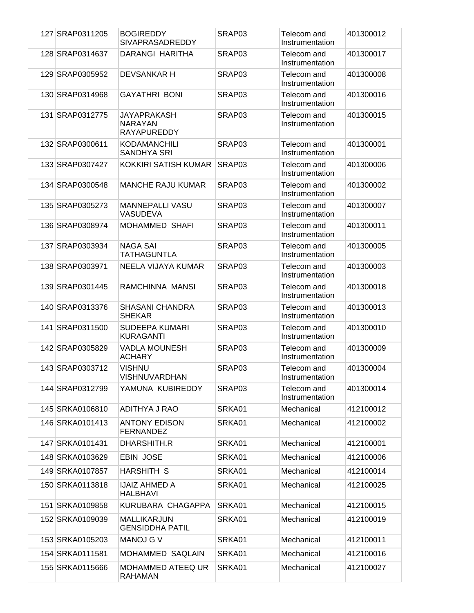| 127 SRAP0311205 | <b>BOGIREDDY</b><br><b>SIVAPRASADREDDY</b>          | SRAP03 | Telecom and<br>Instrumentation | 401300012 |
|-----------------|-----------------------------------------------------|--------|--------------------------------|-----------|
| 128 SRAP0314637 | DARANGI HARITHA                                     | SRAP03 | Telecom and<br>Instrumentation | 401300017 |
| 129 SRAP0305952 | <b>DEVSANKAR H</b>                                  | SRAP03 | Telecom and<br>Instrumentation | 401300008 |
| 130 SRAP0314968 | <b>GAYATHRI BONI</b>                                | SRAP03 | Telecom and<br>Instrumentation | 401300016 |
| 131 SRAP0312775 | JAYAPRAKASH<br><b>NARAYAN</b><br><b>RAYAPUREDDY</b> | SRAP03 | Telecom and<br>Instrumentation | 401300015 |
| 132 SRAP0300611 | <b>KODAMANCHILI</b><br>SANDHYA SRI                  | SRAP03 | Telecom and<br>Instrumentation | 401300001 |
| 133 SRAP0307427 | KOKKIRI SATISH KUMAR                                | SRAP03 | Telecom and<br>Instrumentation | 401300006 |
| 134 SRAP0300548 | MANCHE RAJU KUMAR                                   | SRAP03 | Telecom and<br>Instrumentation | 401300002 |
| 135 SRAP0305273 | <b>MANNEPALLI VASU</b><br>VASUDEVA                  | SRAP03 | Telecom and<br>Instrumentation | 401300007 |
| 136 SRAP0308974 | <b>MOHAMMED SHAFI</b>                               | SRAP03 | Telecom and<br>Instrumentation | 401300011 |
| 137 SRAP0303934 | <b>NAGA SAI</b><br>TATHAGUNTLA                      | SRAP03 | Telecom and<br>Instrumentation | 401300005 |
| 138 SRAP0303971 | NEELA VIJAYA KUMAR                                  | SRAP03 | Telecom and<br>Instrumentation | 401300003 |
| 139 SRAP0301445 | RAMCHINNA MANSI                                     | SRAP03 | Telecom and<br>Instrumentation | 401300018 |
| 140 SRAP0313376 | <b>SHASANI CHANDRA</b><br><b>SHEKAR</b>             | SRAP03 | Telecom and<br>Instrumentation | 401300013 |
| 141 SRAP0311500 | <b>SUDEEPA KUMARI</b><br><b>KURAGANTI</b>           | SRAP03 | Telecom and<br>Instrumentation | 401300010 |
| 142 SRAP0305829 | <b>VADLA MOUNESH</b><br><b>ACHARY</b>               | SRAP03 | Telecom and<br>Instrumentation | 401300009 |
| 143 SRAP0303712 | <b>VISHNU</b><br>VISHNUVARDHAN                      | SRAP03 | Telecom and<br>Instrumentation | 401300004 |
| 144 SRAP0312799 | YAMUNA KUBIREDDY                                    | SRAP03 | Telecom and<br>Instrumentation | 401300014 |
| 145 SRKA0106810 | ADITHYA J RAO                                       | SRKA01 | Mechanical                     | 412100012 |
| 146 SRKA0101413 | <b>ANTONY EDISON</b><br><b>FERNANDEZ</b>            | SRKA01 | Mechanical                     | 412100002 |
| 147 SRKA0101431 | DHARSHITH.R                                         | SRKA01 | Mechanical                     | 412100001 |
| 148 SRKA0103629 | <b>EBIN JOSE</b>                                    | SRKA01 | Mechanical                     | 412100006 |
| 149 SRKA0107857 | HARSHITH S                                          | SRKA01 | Mechanical                     | 412100014 |
| 150 SRKA0113818 | <b>IJAIZ AHMED A</b><br>HALBHAVI                    | SRKA01 | Mechanical                     | 412100025 |
| 151 SRKA0109858 | KURUBARA CHAGAPPA                                   | SRKA01 | Mechanical                     | 412100015 |
| 152 SRKA0109039 | MALLIKARJUN<br><b>GENSIDDHA PATIL</b>               | SRKA01 | Mechanical                     | 412100019 |
| 153 SRKA0105203 | <b>MANOJ G V</b>                                    | SRKA01 | Mechanical                     | 412100011 |
| 154 SRKA0111581 | MOHAMMED SAQLAIN                                    | SRKA01 | Mechanical                     | 412100016 |
| 155 SRKA0115666 | MOHAMMED ATEEQ UR<br><b>RAHAMAN</b>                 | SRKA01 | Mechanical                     | 412100027 |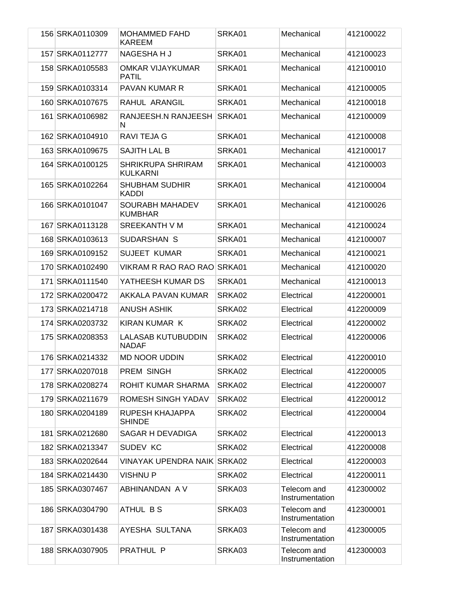| 156 SRKA0110309 | <b>MOHAMMED FAHD</b><br><b>KAREEM</b>       | SRKA01 | Mechanical                     | 412100022 |
|-----------------|---------------------------------------------|--------|--------------------------------|-----------|
| 157 SRKA0112777 | NAGESHA H J                                 | SRKA01 | Mechanical                     | 412100023 |
| 158 SRKA0105583 | <b>OMKAR VIJAYKUMAR</b><br><b>PATIL</b>     | SRKA01 | Mechanical                     | 412100010 |
| 159 SRKA0103314 | <b>PAVAN KUMAR R</b>                        | SRKA01 | Mechanical                     | 412100005 |
| 160 SRKA0107675 | RAHUL ARANGIL                               | SRKA01 | Mechanical                     | 412100018 |
| 161 SRKA0106982 | RANJEESH.N RANJEESH<br>N                    | SRKA01 | Mechanical                     | 412100009 |
| 162 SRKA0104910 | RAVI TEJA G                                 | SRKA01 | Mechanical                     | 412100008 |
| 163 SRKA0109675 | SAJITH LAL B                                | SRKA01 | Mechanical                     | 412100017 |
| 164 SRKA0100125 | <b>SHRIKRUPA SHRIRAM</b><br><b>KULKARNI</b> | SRKA01 | Mechanical                     | 412100003 |
| 165 SRKA0102264 | <b>SHUBHAM SUDHIR</b><br><b>KADDI</b>       | SRKA01 | Mechanical                     | 412100004 |
| 166 SRKA0101047 | <b>SOURABH MAHADEV</b><br><b>KUMBHAR</b>    | SRKA01 | Mechanical                     | 412100026 |
| 167 SRKA0113128 | SREEKANTH V M                               | SRKA01 | Mechanical                     | 412100024 |
| 168 SRKA0103613 | SUDARSHAN S                                 | SRKA01 | Mechanical                     | 412100007 |
| 169 SRKA0109152 | <b>SUJEET KUMAR</b>                         | SRKA01 | Mechanical                     | 412100021 |
| 170 SRKA0102490 | VIKRAM R RAO RAO RAO                        | SRKA01 | Mechanical                     | 412100020 |
| 171 SRKA0111540 | YATHEESH KUMAR DS                           | SRKA01 | Mechanical                     | 412100013 |
| 172 SRKA0200472 | AKKALA PAVAN KUMAR                          | SRKA02 | Electrical                     | 412200001 |
| 173 SRKA0214718 | ANUSH ASHIK                                 | SRKA02 | Electrical                     | 412200009 |
| 174 SRKA0203732 | KIRAN KUMAR K                               | SRKA02 | Electrical                     | 412200002 |
| 175 SRKA0208353 | <b>LALASAB KUTUBUDDIN</b><br><b>NADAF</b>   | SRKA02 | Electrical                     | 412200006 |
| 176 SRKA0214332 | <b>MD NOOR UDDIN</b>                        | SRKA02 | Electrical                     | 412200010 |
| 177 SRKA0207018 | PREM SINGH                                  | SRKA02 | Electrical                     | 412200005 |
| 178 SRKA0208274 | ROHIT KUMAR SHARMA                          | SRKA02 | Electrical                     | 412200007 |
| 179 SRKA0211679 | ROMESH SINGH YADAV                          | SRKA02 | Electrical                     | 412200012 |
| 180 SRKA0204189 | RUPESH KHAJAPPA<br><b>SHINDE</b>            | SRKA02 | Electrical                     | 412200004 |
| 181 SRKA0212680 | SAGAR H DEVADIGA                            | SRKA02 | Electrical                     | 412200013 |
| 182 SRKA0213347 | SUDEV KC                                    | SRKA02 | Electrical                     | 412200008 |
| 183 SRKA0202644 | <b>VINAYAK UPENDRA NAIK</b>                 | SRKA02 | Electrical                     | 412200003 |
| 184 SRKA0214430 | <b>VISHNUP</b>                              | SRKA02 | Electrical                     | 412200011 |
| 185 SRKA0307467 | ABHINANDAN A V                              | SRKA03 | Telecom and<br>Instrumentation | 412300002 |
| 186 SRKA0304790 | ATHUL BS                                    | SRKA03 | Telecom and<br>Instrumentation | 412300001 |
| 187 SRKA0301438 | AYESHA SULTANA                              | SRKA03 | Telecom and<br>Instrumentation | 412300005 |
| 188 SRKA0307905 | PRATHUL P                                   | SRKA03 | Telecom and<br>Instrumentation | 412300003 |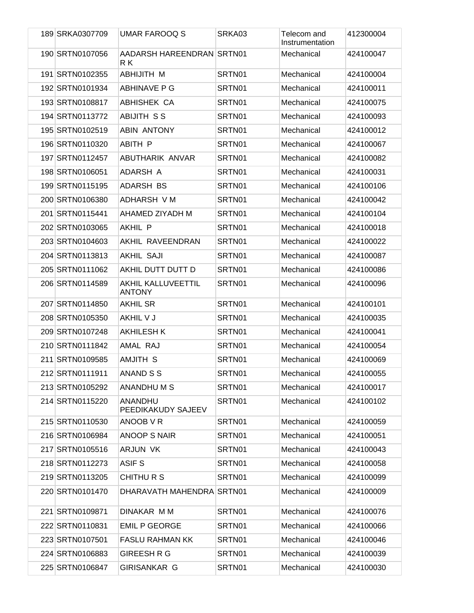| 189 SRKA0307709 | <b>UMAR FAROOQ S</b>                       | SRKA03 | Telecom and<br>Instrumentation | 412300004 |
|-----------------|--------------------------------------------|--------|--------------------------------|-----------|
| 190 SRTN0107056 | AADARSH HAREENDRAN SRTN01<br>R K           |        | Mechanical                     | 424100047 |
| 191 SRTN0102355 | ABHIJITH M                                 | SRTN01 | Mechanical                     | 424100004 |
| 192 SRTN0101934 | ABHINAVE P G                               | SRTN01 | Mechanical                     | 424100011 |
| 193 SRTN0108817 | ABHISHEK CA                                | SRTN01 | Mechanical                     | 424100075 |
| 194 SRTN0113772 | <b>ABIJITH SS</b>                          | SRTN01 | Mechanical                     | 424100093 |
| 195 SRTN0102519 | <b>ABIN ANTONY</b>                         | SRTN01 | Mechanical                     | 424100012 |
| 196 SRTN0110320 | ABITH P                                    | SRTN01 | Mechanical                     | 424100067 |
| 197 SRTN0112457 | ABUTHARIK ANVAR                            | SRTN01 | Mechanical                     | 424100082 |
| 198 SRTN0106051 | ADARSH A                                   | SRTN01 | Mechanical                     | 424100031 |
| 199 SRTN0115195 | ADARSH BS                                  | SRTN01 | Mechanical                     | 424100106 |
| 200 SRTN0106380 | ADHARSH V M                                | SRTN01 | Mechanical                     | 424100042 |
| 201 SRTN0115441 | AHAMED ZIYADH M                            | SRTN01 | Mechanical                     | 424100104 |
| 202 SRTN0103065 | <b>AKHIL P</b>                             | SRTN01 | Mechanical                     | 424100018 |
| 203 SRTN0104603 | AKHIL RAVEENDRAN                           | SRTN01 | Mechanical                     | 424100022 |
| 204 SRTN0113813 | <b>AKHIL SAJI</b>                          | SRTN01 | Mechanical                     | 424100087 |
| 205 SRTN0111062 | AKHIL DUTT DUTT D                          | SRTN01 | Mechanical                     | 424100086 |
| 206 SRTN0114589 | <b>AKHIL KALLUVEETTIL</b><br><b>ANTONY</b> | SRTN01 | Mechanical                     | 424100096 |
| 207 SRTN0114850 | <b>AKHIL SR</b>                            | SRTN01 | Mechanical                     | 424100101 |
| 208 SRTN0105350 | AKHIL V J                                  | SRTN01 | Mechanical                     | 424100035 |
| 209 SRTN0107248 | <b>AKHILESH K</b>                          | SRTN01 | Mechanical                     | 424100041 |
| 210 SRTN0111842 | AMAL RAJ                                   | SRTN01 | Mechanical                     | 424100054 |
| 211 SRTN0109585 | <b>AMJITH S</b>                            | SRTN01 | Mechanical                     | 424100069 |
| 212 SRTN0111911 | ANAND S S                                  | SRTN01 | Mechanical                     | 424100055 |
| 213 SRTN0105292 | ANANDHU M S                                | SRTN01 | Mechanical                     | 424100017 |
| 214 SRTN0115220 | <b>ANANDHU</b><br>PEEDIKAKUDY SAJEEV       | SRTN01 | Mechanical                     | 424100102 |
| 215 SRTN0110530 | ANOOB V R                                  | SRTN01 | Mechanical                     | 424100059 |
| 216 SRTN0106984 | <b>ANOOP S NAIR</b>                        | SRTN01 | Mechanical                     | 424100051 |
| 217 SRTN0105516 | ARJUN VK                                   | SRTN01 | Mechanical                     | 424100043 |
| 218 SRTN0112273 | ASIF <sub>S</sub>                          | SRTN01 | Mechanical                     | 424100058 |
| 219 SRTN0113205 | CHITHURS                                   | SRTN01 | Mechanical                     | 424100099 |
| 220 SRTN0101470 | DHARAVATH MAHENDRA SRTN01                  |        | Mechanical                     | 424100009 |
| 221 SRTN0109871 | DINAKAR M M                                | SRTN01 | Mechanical                     | 424100076 |
| 222 SRTN0110831 | <b>EMIL P GEORGE</b>                       | SRTN01 | Mechanical                     | 424100066 |
| 223 SRTN0107501 | <b>FASLU RAHMAN KK</b>                     | SRTN01 | Mechanical                     | 424100046 |
| 224 SRTN0106883 | <b>GIREESH R G</b>                         | SRTN01 | Mechanical                     | 424100039 |
| 225 SRTN0106847 | GIRISANKAR G                               | SRTN01 | Mechanical                     | 424100030 |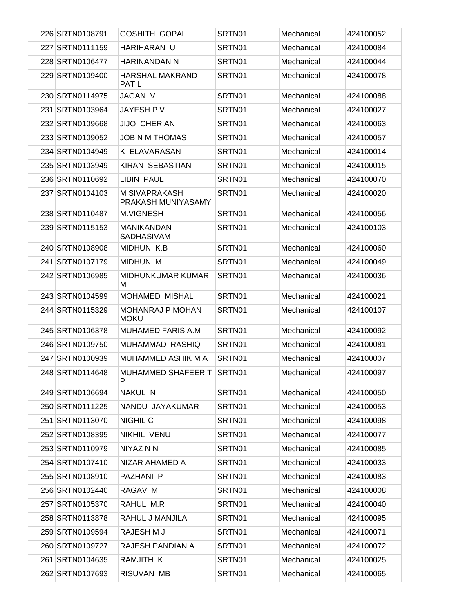| 226 SRTN0108791 | <b>GOSHITH GOPAL</b>                   | SRTN01 | Mechanical | 424100052 |
|-----------------|----------------------------------------|--------|------------|-----------|
| 227 SRTN0111159 | HARIHARAN U                            | SRTN01 | Mechanical | 424100084 |
| 228 SRTN0106477 | HARINANDAN N                           | SRTN01 | Mechanical | 424100044 |
| 229 SRTN0109400 | <b>HARSHAL MAKRAND</b><br><b>PATIL</b> | SRTN01 | Mechanical | 424100078 |
| 230 SRTN0114975 | <b>JAGAN V</b>                         | SRTN01 | Mechanical | 424100088 |
| 231 SRTN0103964 | JAYESH P V                             | SRTN01 | Mechanical | 424100027 |
| 232 SRTN0109668 | <b>JIJO CHERIAN</b>                    | SRTN01 | Mechanical | 424100063 |
| 233 SRTN0109052 | <b>JOBIN M THOMAS</b>                  | SRTN01 | Mechanical | 424100057 |
| 234 SRTN0104949 | K ELAVARASAN                           | SRTN01 | Mechanical | 424100014 |
| 235 SRTN0103949 | <b>KIRAN SEBASTIAN</b>                 | SRTN01 | Mechanical | 424100015 |
| 236 SRTN0110692 | LIBIN PAUL                             | SRTN01 | Mechanical | 424100070 |
| 237 SRTN0104103 | M SIVAPRAKASH<br>PRAKASH MUNIYASAMY    | SRTN01 | Mechanical | 424100020 |
| 238 SRTN0110487 | <b>M.VIGNESH</b>                       | SRTN01 | Mechanical | 424100056 |
| 239 SRTN0115153 | <b>MANIKANDAN</b><br>SADHASIVAM        | SRTN01 | Mechanical | 424100103 |
| 240 SRTN0108908 | <b>MIDHUN K.B</b>                      | SRTN01 | Mechanical | 424100060 |
| 241 SRTN0107179 | <b>MIDHUN M</b>                        | SRTN01 | Mechanical | 424100049 |
| 242 SRTN0106985 | <b>MIDHUNKUMAR KUMAR</b><br>м          | SRTN01 | Mechanical | 424100036 |
| 243 SRTN0104599 | <b>MOHAMED MISHAL</b>                  | SRTN01 | Mechanical | 424100021 |
| 244 SRTN0115329 | <b>MOHANRAJ P MOHAN</b><br><b>MOKU</b> | SRTN01 | Mechanical | 424100107 |
| 245 SRTN0106378 | <b>MUHAMED FARIS A.M</b>               | SRTN01 | Mechanical | 424100092 |
| 246 SRTN0109750 | MUHAMMAD RASHIQ                        | SRTN01 | Mechanical | 424100081 |
| 247 SRTN0100939 | <b>MUHAMMED ASHIK M A</b>              | SRTN01 | Mechanical | 424100007 |
| 248 SRTN0114648 | MUHAMMED SHAFEER T<br>P                | SRTN01 | Mechanical | 424100097 |
| 249 SRTN0106694 | NAKUL N                                | SRTN01 | Mechanical | 424100050 |
| 250 SRTN0111225 | NANDU JAYAKUMAR                        | SRTN01 | Mechanical | 424100053 |
| 251 SRTN0113070 | <b>NIGHIL C</b>                        | SRTN01 | Mechanical | 424100098 |
| 252 SRTN0108395 | NIKHIL VENU                            | SRTN01 | Mechanical | 424100077 |
| 253 SRTN0110979 | NIYAZ N N                              | SRTN01 | Mechanical | 424100085 |
| 254 SRTN0107410 | NIZAR AHAMED A                         | SRTN01 | Mechanical | 424100033 |
| 255 SRTN0108910 | PAZHANI P                              | SRTN01 | Mechanical | 424100083 |
| 256 SRTN0102440 | RAGAV M                                | SRTN01 | Mechanical | 424100008 |
| 257 SRTN0105370 | RAHUL M.R                              | SRTN01 | Mechanical | 424100040 |
| 258 SRTN0113878 | RAHUL J MANJILA                        | SRTN01 | Mechanical | 424100095 |
| 259 SRTN0109594 | RAJESH M J                             | SRTN01 | Mechanical | 424100071 |
| 260 SRTN0109727 | RAJESH PANDIAN A                       | SRTN01 | Mechanical | 424100072 |
| 261 SRTN0104635 | RAMJITH K                              | SRTN01 | Mechanical | 424100025 |
| 262 SRTN0107693 | RISUVAN MB                             | SRTN01 | Mechanical | 424100065 |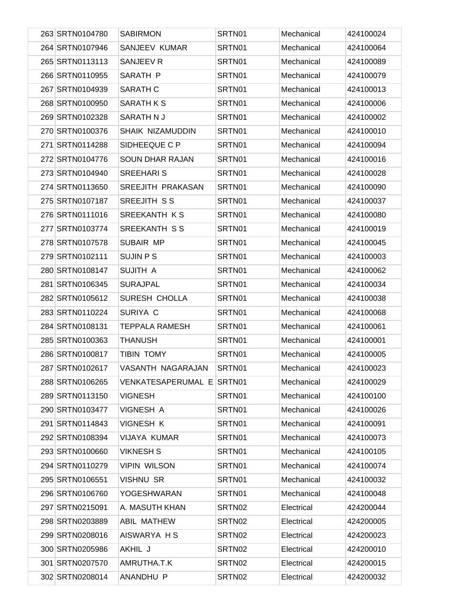| 263 SRTN0104780 | <b>SABIRMON</b>           | SRTN01 | Mechanical | 424100024 |
|-----------------|---------------------------|--------|------------|-----------|
| 264 SRTN0107946 | SANJEEV KUMAR             | SRTN01 | Mechanical | 424100064 |
| 265 SRTN0113113 | SANJEEV R                 | SRTN01 | Mechanical | 424100089 |
| 266 SRTN0110955 | SARATH P                  | SRTN01 | Mechanical | 424100079 |
| 267 SRTN0104939 | SARATH C                  | SRTN01 | Mechanical | 424100013 |
| 268 SRTN0100950 | SARATH K S                | SRTN01 | Mechanical | 424100006 |
| 269 SRTN0102328 | SARATH N J                | SRTN01 | Mechanical | 424100002 |
| 270 SRTN0100376 | SHAIK NIZAMUDDIN          | SRTN01 | Mechanical | 424100010 |
| 271 SRTN0114288 | SIDHEEQUE C P             | SRTN01 | Mechanical | 424100094 |
| 272 SRTN0104776 | <b>SOUN DHAR RAJAN</b>    | SRTN01 | Mechanical | 424100016 |
| 273 SRTN0104940 | <b>SREEHARI S</b>         | SRTN01 | Mechanical | 424100028 |
| 274 SRTN0113650 | SREEJITH PRAKASAN         | SRTN01 | Mechanical | 424100090 |
| 275 SRTN0107187 | SREEJITH SS               | SRTN01 | Mechanical | 424100037 |
| 276 SRTN0111016 | <b>SREEKANTH KS</b>       | SRTN01 | Mechanical | 424100080 |
| 277 SRTN0103774 | <b>SREEKANTH SS</b>       | SRTN01 | Mechanical | 424100019 |
| 278 SRTN0107578 | SUBAIR MP                 | SRTN01 | Mechanical | 424100045 |
| 279 SRTN0102111 | <b>SUJIN P S</b>          | SRTN01 | Mechanical | 424100003 |
| 280 SRTN0108147 | SUJITH A                  | SRTN01 | Mechanical | 424100062 |
| 281 SRTN0106345 | <b>SURAJPAL</b>           | SRTN01 | Mechanical | 424100034 |
| 282 SRTN0105612 | SURESH CHOLLA             | SRTN01 | Mechanical | 424100038 |
| 283 SRTN0110224 | SURIYA C                  | SRTN01 | Mechanical | 424100068 |
| 284 SRTN0108131 | <b>TEPPALA RAMESH</b>     | SRTN01 | Mechanical | 424100061 |
| 285 SRTN0100363 | <b>THANUSH</b>            | SRTN01 | Mechanical | 424100001 |
| 286 SRTN0100817 | <b>TIBIN TOMY</b>         | SRTN01 | Mechanical | 424100005 |
| 287 SRTN0102617 | VASANTH NAGARAJAN         | SRTN01 | Mechanical | 424100023 |
| 288 SRTN0106265 | VENKATESAPERUMAL E SRTN01 |        | Mechanical | 424100029 |
| 289 SRTN0113150 | <b>VIGNESH</b>            | SRTN01 | Mechanical | 424100100 |
| 290 SRTN0103477 | VIGNESH A                 | SRTN01 | Mechanical | 424100026 |
| 291 SRTN0114843 | <b>VIGNESH K</b>          | SRTN01 | Mechanical | 424100091 |
| 292 SRTN0108394 | VIJAYA KUMAR              | SRTN01 | Mechanical | 424100073 |
| 293 SRTN0100660 | <b>VIKNESH S</b>          | SRTN01 | Mechanical | 424100105 |
| 294 SRTN0110279 | <b>VIPIN WILSON</b>       | SRTN01 | Mechanical | 424100074 |
| 295 SRTN0106551 | <b>VISHNU SR</b>          | SRTN01 | Mechanical | 424100032 |
| 296 SRTN0106760 | YOGESHWARAN               | SRTN01 | Mechanical | 424100048 |
| 297 SRTN0215091 | A. MASUTH KHAN            | SRTN02 | Electrical | 424200044 |
| 298 SRTN0203889 | <b>ABIL MATHEW</b>        | SRTN02 | Electrical | 424200005 |
| 299 SRTN0208016 | AISWARYA H S              | SRTN02 | Electrical | 424200023 |
| 300 SRTN0205986 | AKHIL J                   | SRTN02 | Electrical | 424200010 |
| 301 SRTN0207570 | AMRUTHA.T.K               | SRTN02 | Electrical | 424200015 |
| 302 SRTN0208014 | ANANDHU P                 | SRTN02 | Electrical | 424200032 |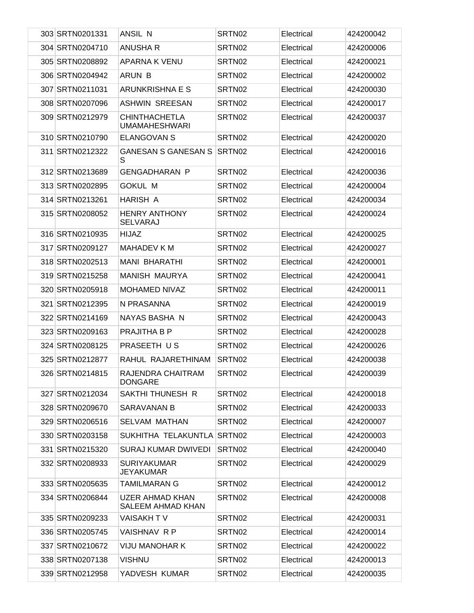| 303 SRTN0201331 | ANSIL N                                      | SRTN02             | Electrical | 424200042 |
|-----------------|----------------------------------------------|--------------------|------------|-----------|
| 304 SRTN0204710 | <b>ANUSHA R</b>                              | SRTN02             | Electrical | 424200006 |
| 305 SRTN0208892 | <b>APARNA K VENU</b>                         | SRTN02             | Electrical | 424200021 |
| 306 SRTN0204942 | ARUN B                                       | SRTN02             | Electrical | 424200002 |
| 307 SRTN0211031 | ARUNKRISHNA E S                              | SRTN02             | Electrical | 424200030 |
| 308 SRTN0207096 | <b>ASHWIN SREESAN</b>                        | SRTN02             | Electrical | 424200017 |
| 309 SRTN0212979 | <b>CHINTHACHETLA</b><br><b>UMAMAHESHWARI</b> | SRTN02             | Electrical | 424200037 |
| 310 SRTN0210790 | <b>ELANGOVAN S</b>                           | SRTN02             | Electrical | 424200020 |
| 311 SRTN0212322 | <b>GANESAN S GANESAN S</b><br>S              | SRTN02             | Electrical | 424200016 |
| 312 SRTN0213689 | <b>GENGADHARAN P</b>                         | SRTN <sub>02</sub> | Electrical | 424200036 |
| 313 SRTN0202895 | <b>GOKUL M</b>                               | SRTN02             | Electrical | 424200004 |
| 314 SRTN0213261 | HARISH A                                     | SRTN <sub>02</sub> | Electrical | 424200034 |
| 315 SRTN0208052 | <b>HENRY ANTHONY</b><br>SELVARAJ             | SRTN02             | Electrical | 424200024 |
| 316 SRTN0210935 | <b>HIJAZ</b>                                 | SRTN02             | Electrical | 424200025 |
| 317 SRTN0209127 | MAHADEV K M                                  | SRTN02             | Electrical | 424200027 |
| 318 SRTN0202513 | <b>MANI BHARATHI</b>                         | SRTN02             | Electrical | 424200001 |
| 319 SRTN0215258 | MANISH MAURYA                                | SRTN02             | Electrical | 424200041 |
| 320 SRTN0205918 | <b>MOHAMED NIVAZ</b>                         | SRTN02             | Electrical | 424200011 |
| 321 SRTN0212395 | N PRASANNA                                   | SRTN02             | Electrical | 424200019 |
| 322 SRTN0214169 | NAYAS BASHA N                                | SRTN02             | Electrical | 424200043 |
| 323 SRTN0209163 | <b>PRAJITHA B P</b>                          | SRTN02             | Electrical | 424200028 |
| 324 SRTN0208125 | PRASEETH US                                  | SRTN02             | Electrical | 424200026 |
| 325 SRTN0212877 | RAHUL RAJARETHINAM                           | SRTN <sub>02</sub> | Electrical | 424200038 |
| 326 SRTN0214815 | RAJENDRA CHAITRAM<br><b>DONGARE</b>          | SRTN <sub>02</sub> | Electrical | 424200039 |
| 327 SRTN0212034 | SAKTHI THUNESH R                             | SRTN02             | Electrical | 424200018 |
| 328 SRTN0209670 | SARAVANAN B                                  | SRTN02             | Electrical | 424200033 |
| 329 SRTN0206516 | <b>SELVAM MATHAN</b>                         | SRTN02             | Electrical | 424200007 |
| 330 SRTN0203158 | SUKHITHA TELAKUNTLA SRTN02                   |                    | Electrical | 424200003 |
| 331 SRTN0215320 | SURAJ KUMAR DWIVEDI                          | SRTN02             | Electrical | 424200040 |
| 332 SRTN0208933 | <b>SURIYAKUMAR</b><br>JEYAKUMAR              | SRTN02             | Electrical | 424200029 |
| 333 SRTN0205635 | TAMILMARAN G                                 | SRTN02             | Electrical | 424200012 |
| 334 SRTN0206844 | UZER AHMAD KHAN<br>SALEEM AHMAD KHAN         | SRTN02             | Electrical | 424200008 |
| 335 SRTN0209233 | VAISAKH T V                                  | SRTN02             | Electrical | 424200031 |
| 336 SRTN0205745 | VAISHNAV R P                                 | SRTN02             | Electrical | 424200014 |
| 337 SRTN0210672 | <b>VIJU MANOHAR K</b>                        | SRTN02             | Electrical | 424200022 |
| 338 SRTN0207138 | VISHNU                                       | SRTN02             | Electrical | 424200013 |
| 339 SRTN0212958 | YADVESH KUMAR                                | SRTN02             | Electrical | 424200035 |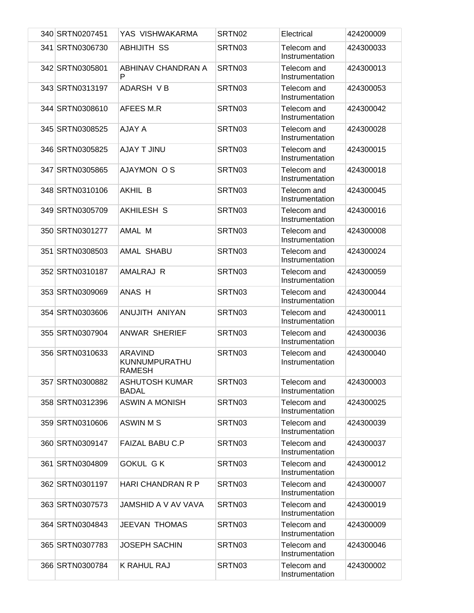| 340 SRTN0207451 | YAS VISHWAKARMA                                  | SRTN02 | Electrical                     | 424200009 |
|-----------------|--------------------------------------------------|--------|--------------------------------|-----------|
| 341 SRTN0306730 | <b>ABHIJITH SS</b>                               | SRTN03 | Telecom and<br>Instrumentation | 424300033 |
| 342 SRTN0305801 | ABHINAV CHANDRAN A<br>P                          | SRTN03 | Telecom and<br>Instrumentation | 424300013 |
| 343 SRTN0313197 | ADARSH VB                                        | SRTN03 | Telecom and<br>Instrumentation | 424300053 |
| 344 SRTN0308610 | AFEES M.R                                        | SRTN03 | Telecom and<br>Instrumentation | 424300042 |
| 345 SRTN0308525 | AJAY A                                           | SRTN03 | Telecom and<br>Instrumentation | 424300028 |
| 346 SRTN0305825 | <b>AJAY T JINU</b>                               | SRTN03 | Telecom and<br>Instrumentation | 424300015 |
| 347 SRTN0305865 | <b>AJAYMON OS</b>                                | SRTN03 | Telecom and<br>Instrumentation | 424300018 |
| 348 SRTN0310106 | AKHIL B                                          | SRTN03 | Telecom and<br>Instrumentation | 424300045 |
| 349 SRTN0305709 | AKHILESH S                                       | SRTN03 | Telecom and<br>Instrumentation | 424300016 |
| 350 SRTN0301277 | AMAL M                                           | SRTN03 | Telecom and<br>Instrumentation | 424300008 |
| 351 SRTN0308503 | AMAL SHABU                                       | SRTN03 | Telecom and<br>Instrumentation | 424300024 |
| 352 SRTN0310187 | AMALRAJ R                                        | SRTN03 | Telecom and<br>Instrumentation | 424300059 |
| 353 SRTN0309069 | ANAS H                                           | SRTN03 | Telecom and<br>Instrumentation | 424300044 |
| 354 SRTN0303606 | ANUJITH ANIYAN                                   | SRTN03 | Telecom and<br>Instrumentation | 424300011 |
| 355 SRTN0307904 | <b>ANWAR SHERIEF</b>                             | SRTN03 | Telecom and<br>Instrumentation | 424300036 |
| 356 SRTN0310633 | <b>ARAVIND</b><br>KUNNUMPURATHU<br><b>RAMESH</b> | SRTN03 | Telecom and<br>Instrumentation | 424300040 |
| 357 SRTN0300882 | <b>ASHUTOSH KUMAR</b><br><b>BADAL</b>            | SRTN03 | Telecom and<br>Instrumentation | 424300003 |
| 358 SRTN0312396 | <b>ASWIN A MONISH</b>                            | SRTN03 | Telecom and<br>Instrumentation | 424300025 |
| 359 SRTN0310606 | ASWIN M S                                        | SRTN03 | Telecom and<br>Instrumentation | 424300039 |
| 360 SRTN0309147 | FAIZAL BABU C.P                                  | SRTN03 | Telecom and<br>Instrumentation | 424300037 |
| 361 SRTN0304809 | <b>GOKUL GK</b>                                  | SRTN03 | Telecom and<br>Instrumentation | 424300012 |
| 362 SRTN0301197 | HARI CHANDRAN R P                                | SRTN03 | Telecom and<br>Instrumentation | 424300007 |
| 363 SRTN0307573 | JAMSHID A V AV VAVA                              | SRTN03 | Telecom and<br>Instrumentation | 424300019 |
| 364 SRTN0304843 | <b>JEEVAN THOMAS</b>                             | SRTN03 | Telecom and<br>Instrumentation | 424300009 |
| 365 SRTN0307783 | <b>JOSEPH SACHIN</b>                             | SRTN03 | Telecom and<br>Instrumentation | 424300046 |
| 366 SRTN0300784 | K RAHUL RAJ                                      | SRTN03 | Telecom and<br>Instrumentation | 424300002 |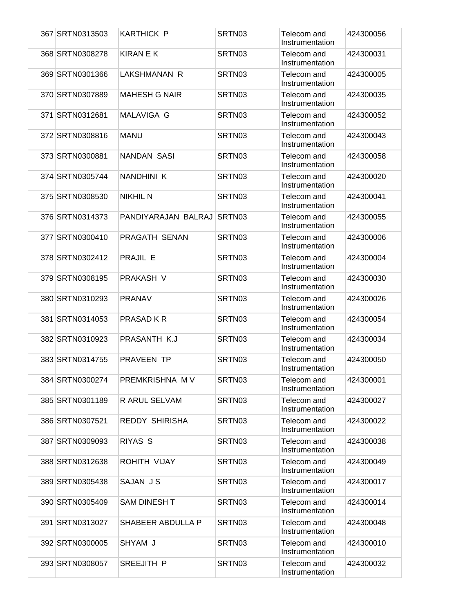| 367 SRTN0313503 | <b>KARTHICK P</b>     | SRTN03 | Telecom and<br>Instrumentation | 424300056 |
|-----------------|-----------------------|--------|--------------------------------|-----------|
| 368 SRTN0308278 | <b>KIRAN E K</b>      | SRTN03 | Telecom and<br>Instrumentation | 424300031 |
| 369 SRTN0301366 | LAKSHMANAN R          | SRTN03 | Telecom and<br>Instrumentation | 424300005 |
| 370 SRTN0307889 | <b>MAHESH G NAIR</b>  | SRTN03 | Telecom and<br>Instrumentation | 424300035 |
| 371 SRTN0312681 | MALAVIGA G            | SRTN03 | Telecom and<br>Instrumentation | 424300052 |
| 372 SRTN0308816 | <b>MANU</b>           | SRTN03 | Telecom and<br>Instrumentation | 424300043 |
| 373 SRTN0300881 | <b>NANDAN SASI</b>    | SRTN03 | Telecom and<br>Instrumentation | 424300058 |
| 374 SRTN0305744 | NANDHINI K            | SRTN03 | Telecom and<br>Instrumentation | 424300020 |
| 375 SRTN0308530 | <b>NIKHIL N</b>       | SRTN03 | Telecom and<br>Instrumentation | 424300041 |
| 376 SRTN0314373 | PANDIYARAJAN BALRAJ   | SRTN03 | Telecom and<br>Instrumentation | 424300055 |
| 377 SRTN0300410 | PRAGATH SENAN         | SRTN03 | Telecom and<br>Instrumentation | 424300006 |
| 378 SRTN0302412 | PRAJIL E              | SRTN03 | Telecom and<br>Instrumentation | 424300004 |
| 379 SRTN0308195 | PRAKASH V             | SRTN03 | Telecom and<br>Instrumentation | 424300030 |
| 380 SRTN0310293 | <b>PRANAV</b>         | SRTN03 | Telecom and<br>Instrumentation | 424300026 |
| 381 SRTN0314053 | PRASAD K R            | SRTN03 | Telecom and<br>Instrumentation | 424300054 |
| 382 SRTN0310923 | PRASANTH K.J          | SRTN03 | Telecom and<br>Instrumentation | 424300034 |
| 383 SRTN0314755 | PRAVEEN TP            | SRTN03 | Telecom and<br>Instrumentation | 424300050 |
| 384 SRTN0300274 | PREMKRISHNA M V       | SRTN03 | Telecom and<br>Instrumentation | 424300001 |
| 385 SRTN0301189 | R ARUL SELVAM         | SRTN03 | Telecom and<br>Instrumentation | 424300027 |
| 386 SRTN0307521 | <b>REDDY SHIRISHA</b> | SRTN03 | Telecom and<br>Instrumentation | 424300022 |
| 387 SRTN0309093 | RIYAS <sub>S</sub>    | SRTN03 | Telecom and<br>Instrumentation | 424300038 |
| 388 SRTN0312638 | ROHITH VIJAY          | SRTN03 | Telecom and<br>Instrumentation | 424300049 |
| 389 SRTN0305438 | SAJAN JS              | SRTN03 | Telecom and<br>Instrumentation | 424300017 |
| 390 SRTN0305409 | <b>SAM DINESH T</b>   | SRTN03 | Telecom and<br>Instrumentation | 424300014 |
| 391 SRTN0313027 | SHABEER ABDULLA P     | SRTN03 | Telecom and<br>Instrumentation | 424300048 |
| 392 SRTN0300005 | SHYAM J               | SRTN03 | Telecom and<br>Instrumentation | 424300010 |
| 393 SRTN0308057 | SREEJITH P            | SRTN03 | Telecom and<br>Instrumentation | 424300032 |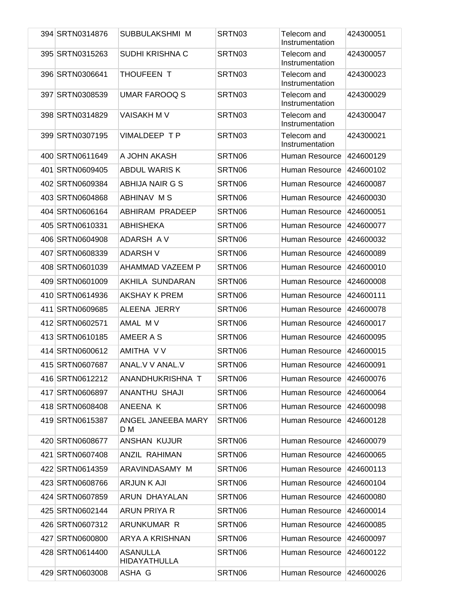| 394 SRTN0314876 | SUBBULAKSHMI M                         | SRTN03 | Telecom and<br>Instrumentation | 424300051 |
|-----------------|----------------------------------------|--------|--------------------------------|-----------|
| 395 SRTN0315263 | <b>SUDHI KRISHNA C</b>                 | SRTN03 | Telecom and<br>Instrumentation | 424300057 |
| 396 SRTN0306641 | THOUFEEN T                             | SRTN03 | Telecom and<br>Instrumentation | 424300023 |
| 397 SRTN0308539 | <b>UMAR FAROOQ S</b>                   | SRTN03 | Telecom and<br>Instrumentation | 424300029 |
| 398 SRTN0314829 | <b>VAISAKH M V</b>                     | SRTN03 | Telecom and<br>Instrumentation | 424300047 |
| 399 SRTN0307195 | VIMALDEEP TP                           | SRTN03 | Telecom and<br>Instrumentation | 424300021 |
| 400 SRTN0611649 | A JOHN AKASH                           | SRTN06 | Human Resource                 | 424600129 |
| 401 SRTN0609405 | <b>ABDUL WARIS K</b>                   | SRTN06 | Human Resource                 | 424600102 |
| 402 SRTN0609384 | ABHIJA NAIR G S                        | SRTN06 | Human Resource                 | 424600087 |
| 403 SRTN0604868 | ABHINAV M S                            | SRTN06 | Human Resource                 | 424600030 |
| 404 SRTN0606164 | ABHIRAM PRADEEP                        | SRTN06 | Human Resource                 | 424600051 |
| 405 SRTN0610331 | <b>ABHISHEKA</b>                       | SRTN06 | Human Resource                 | 424600077 |
| 406 SRTN0604908 | ADARSH AV                              | SRTN06 | Human Resource                 | 424600032 |
| 407 SRTN0608339 | <b>ADARSH V</b>                        | SRTN06 | Human Resource                 | 424600089 |
| 408 SRTN0601039 | AHAMMAD VAZEEM P                       | SRTN06 | Human Resource                 | 424600010 |
| 409 SRTN0601009 | AKHILA SUNDARAN                        | SRTN06 | Human Resource                 | 424600008 |
| 410 SRTN0614936 | AKSHAY K PREM                          | SRTN06 | Human Resource                 | 424600111 |
| 411 SRTN0609685 | ALEENA JERRY                           | SRTN06 | Human Resource                 | 424600078 |
| 412 SRTN0602571 | AMAL MV                                | SRTN06 | Human Resource                 | 424600017 |
| 413 SRTN0610185 | AMEER A S                              | SRTN06 | Human Resource                 | 424600095 |
| 414 SRTN0600612 | AMITHA V V                             | SRTN06 | Human Resource                 | 424600015 |
| 415 SRTN0607687 | ANAL.V V ANAL.V                        | SRTN06 | Human Resource                 | 424600091 |
| 416 SRTN0612212 | ANANDHUKRISHNA T                       | SRTN06 | Human Resource                 | 424600076 |
| 417 SRTN0606897 | ANANTHU SHAJI                          | SRTN06 | Human Resource                 | 424600064 |
| 418 SRTN0608408 | ANEENA K                               | SRTN06 | Human Resource                 | 424600098 |
| 419 SRTN0615387 | ANGEL JANEEBA MARY<br>D M              | SRTN06 | Human Resource                 | 424600128 |
| 420 SRTN0608677 | ANSHAN KUJUR                           | SRTN06 | Human Resource                 | 424600079 |
| 421 SRTN0607408 | ANZIL RAHIMAN                          | SRTN06 | Human Resource                 | 424600065 |
| 422 SRTN0614359 | ARAVINDASAMY M                         | SRTN06 | Human Resource                 | 424600113 |
| 423 SRTN0608766 | ARJUN K AJI                            | SRTN06 | Human Resource                 | 424600104 |
| 424 SRTN0607859 | ARUN DHAYALAN                          | SRTN06 | Human Resource                 | 424600080 |
| 425 SRTN0602144 | ARUN PRIYA R                           | SRTN06 | Human Resource                 | 424600014 |
| 426 SRTN0607312 | ARUNKUMAR R                            | SRTN06 | Human Resource                 | 424600085 |
| 427 SRTN0600800 | ARYA A KRISHNAN                        | SRTN06 | Human Resource                 | 424600097 |
| 428 SRTN0614400 | <b>ASANULLA</b><br><b>HIDAYATHULLA</b> | SRTN06 | Human Resource                 | 424600122 |
| 429 SRTN0603008 | ASHA G                                 | SRTN06 | Human Resource                 | 424600026 |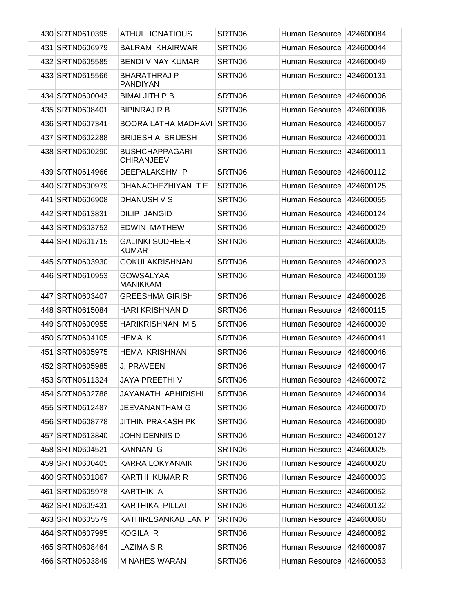| 430 SRTN0610395 | ATHUL IGNATIOUS                             | SRTN06 | Human Resource           | 424600084 |
|-----------------|---------------------------------------------|--------|--------------------------|-----------|
| 431 SRTN0606979 | <b>BALRAM KHAIRWAR</b>                      | SRTN06 | Human Resource           | 424600044 |
| 432 SRTN0605585 | <b>BENDI VINAY KUMAR</b>                    | SRTN06 | Human Resource           | 424600049 |
| 433 SRTN0615566 | <b>BHARATHRAJ P</b><br><b>PANDIYAN</b>      | SRTN06 | Human Resource           | 424600131 |
| 434 SRTN0600043 | <b>BIMALJITH P B</b>                        | SRTN06 | Human Resource           | 424600006 |
| 435 SRTN0608401 | <b>BIPINRAJ R.B</b>                         | SRTN06 | Human Resource           | 424600096 |
| 436 SRTN0607341 | <b>BOORA LATHA MADHAVI</b>                  | SRTN06 | Human Resource           | 424600057 |
| 437 SRTN0602288 | <b>BRIJESH A BRIJESH</b>                    | SRTN06 | Human Resource           | 424600001 |
| 438 SRTN0600290 | <b>BUSHCHAPPAGARI</b><br><b>CHIRANJEEVI</b> | SRTN06 | Human Resource           | 424600011 |
| 439 SRTN0614966 | <b>DEEPALAKSHMIP</b>                        | SRTN06 | Human Resource           | 424600112 |
| 440 SRTN0600979 | DHANACHEZHIYAN TE                           | SRTN06 | Human Resource           | 424600125 |
| 441 SRTN0606908 | DHANUSH V S                                 | SRTN06 | Human Resource           | 424600055 |
| 442 SRTN0613831 | <b>DILIP JANGID</b>                         | SRTN06 | Human Resource           | 424600124 |
| 443 SRTN0603753 | <b>EDWIN MATHEW</b>                         | SRTN06 | Human Resource           | 424600029 |
| 444 SRTN0601715 | <b>GALINKI SUDHEER</b><br><b>KUMAR</b>      | SRTN06 | Human Resource           | 424600005 |
| 445 SRTN0603930 | <b>GOKULAKRISHNAN</b>                       | SRTN06 | Human Resource           | 424600023 |
| 446 SRTN0610953 | <b>GOWSALYAA</b><br><b>MANIKKAM</b>         | SRTN06 | Human Resource           | 424600109 |
| 447 SRTN0603407 | <b>GREESHMA GIRISH</b>                      | SRTN06 | Human Resource           | 424600028 |
| 448 SRTN0615084 | HARI KRISHNAN D                             | SRTN06 | Human Resource           | 424600115 |
| 449 SRTN0600955 | HARIKRISHNAN M S                            | SRTN06 | Human Resource           | 424600009 |
| 450 SRTN0604105 | HEMA K                                      | SRTN06 | Human Resource           | 424600041 |
| 451 SRTN0605975 | <b>HEMA KRISHNAN</b>                        | SRTN06 | Human Resource           | 424600046 |
| 452 SRTN0605985 | <b>J. PRAVEEN</b>                           | SRTN06 | Human Resource           | 424600047 |
| 453 SRTN0611324 | JAYA PREETHI V                              | SRTN06 | Human Resource 424600072 |           |
| 454 SRTN0602788 | JAYANATH ABHIRISHI                          | SRTN06 | Human Resource           | 424600034 |
| 455 SRTN0612487 | JEEVANANTHAM G                              | SRTN06 | Human Resource           | 424600070 |
| 456 SRTN0608778 | <b>JITHIN PRAKASH PK</b>                    | SRTN06 | Human Resource           | 424600090 |
| 457 SRTN0613840 | JOHN DENNIS D                               | SRTN06 | Human Resource           | 424600127 |
| 458 SRTN0604521 | <b>KANNAN G</b>                             | SRTN06 | Human Resource           | 424600025 |
| 459 SRTN0600405 | <b>KARRA LOKYANAIK</b>                      | SRTN06 | Human Resource           | 424600020 |
| 460 SRTN0601867 | KARTHI KUMAR R                              | SRTN06 | Human Resource           | 424600003 |
| 461 SRTN0605978 | KARTHIK A                                   | SRTN06 | Human Resource           | 424600052 |
| 462 SRTN0609431 | KARTHIKA PILLAI                             | SRTN06 | Human Resource           | 424600132 |
| 463 SRTN0605579 | KATHIRESANKABILAN P                         | SRTN06 | Human Resource           | 424600060 |
| 464 SRTN0607995 | KOGILA R                                    | SRTN06 | Human Resource           | 424600082 |
| 465 SRTN0608464 | LAZIMA S R                                  | SRTN06 | Human Resource           | 424600067 |
| 466 SRTN0603849 | <b>M NAHES WARAN</b>                        | SRTN06 | Human Resource           | 424600053 |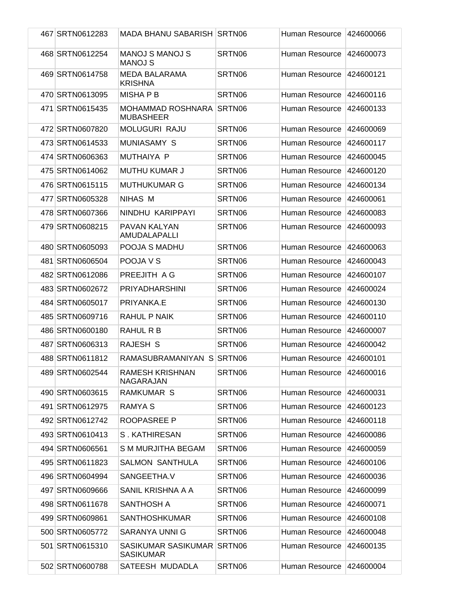| 467 SRTN0612283 | <b>MADA BHANU SABARISH SRTN06</b>              |        | Human Resource        | 424600066 |
|-----------------|------------------------------------------------|--------|-----------------------|-----------|
| 468 SRTN0612254 | <b>MANOJ S MANOJ S</b><br><b>MANOJ S</b>       | SRTN06 | Human Resource        | 424600073 |
| 469 SRTN0614758 | <b>MEDA BALARAMA</b><br><b>KRISHNA</b>         | SRTN06 | Human Resource        | 424600121 |
| 470 SRTN0613095 | <b>MISHAPB</b>                                 | SRTN06 | Human Resource        | 424600116 |
| 471 SRTN0615435 | MOHAMMAD ROSHNARA<br><b>MUBASHEER</b>          | SRTN06 | Human Resource        | 424600133 |
| 472 SRTN0607820 | <b>MOLUGURI RAJU</b>                           | SRTN06 | Human Resource        | 424600069 |
| 473 SRTN0614533 | <b>MUNIASAMY S</b>                             | SRTN06 | Human Resource        | 424600117 |
| 474 SRTN0606363 | MUTHAIYA P                                     | SRTN06 | Human Resource        | 424600045 |
| 475 SRTN0614062 | <b>MUTHU KUMAR J</b>                           | SRTN06 | Human Resource        | 424600120 |
| 476 SRTN0615115 | <b>MUTHUKUMAR G</b>                            | SRTN06 | Human Resource        | 424600134 |
| 477 SRTN0605328 | NIHAS M                                        | SRTN06 | Human Resource        | 424600061 |
| 478 SRTN0607366 | NINDHU KARIPPAYI                               | SRTN06 | <b>Human Resource</b> | 424600083 |
| 479 SRTN0608215 | PAVAN KALYAN<br>AMUDALAPALLI                   | SRTN06 | Human Resource        | 424600093 |
| 480 SRTN0605093 | POOJA S MADHU                                  | SRTN06 | Human Resource        | 424600063 |
| 481 SRTN0606504 | POOJA V S                                      | SRTN06 | Human Resource        | 424600043 |
| 482 SRTN0612086 | PREEJITH A G                                   | SRTN06 | Human Resource        | 424600107 |
| 483 SRTN0602672 | <b>PRIYADHARSHINI</b>                          | SRTN06 | Human Resource        | 424600024 |
| 484 SRTN0605017 | PRIYANKA.E                                     | SRTN06 | Human Resource        | 424600130 |
| 485 SRTN0609716 | RAHUL P NAIK                                   | SRTN06 | Human Resource        | 424600110 |
| 486 SRTN0600180 | RAHUL R B                                      | SRTN06 | Human Resource        | 424600007 |
| 487 SRTN0606313 | RAJESH S                                       | SRTN06 | Human Resource        | 424600042 |
| 488 SRTN0611812 | RAMASUBRAMANIYAN S SRTN06                      |        | Human Resource        | 424600101 |
| 489 SRTN0602544 | <b>RAMESH KRISHNAN</b><br>NAGARAJAN            | SRTN06 | Human Resource        | 424600016 |
| 490 SRTN0603615 | <b>RAMKUMAR S</b>                              | SRTN06 | Human Resource        | 424600031 |
| 491 SRTN0612975 | RAMYA S                                        | SRTN06 | Human Resource        | 424600123 |
| 492 SRTN0612742 | <b>ROOPASREE P</b>                             | SRTN06 | Human Resource        | 424600118 |
| 493 SRTN0610413 | S. KATHIRESAN                                  | SRTN06 | Human Resource        | 424600086 |
| 494 SRTN0606561 | S M MURJITHA BEGAM                             | SRTN06 | Human Resource        | 424600059 |
| 495 SRTN0611823 | <b>SALMON SANTHULA</b>                         | SRTN06 | Human Resource        | 424600106 |
| 496 SRTN0604994 | SANGEETHA.V                                    | SRTN06 | Human Resource        | 424600036 |
| 497 SRTN0609666 | SANIL KRISHNA A A                              | SRTN06 | Human Resource        | 424600099 |
| 498 SRTN0611678 | <b>SANTHOSH A</b>                              | SRTN06 | Human Resource        | 424600071 |
| 499 SRTN0609861 | <b>SANTHOSHKUMAR</b>                           | SRTN06 | Human Resource        | 424600108 |
| 500 SRTN0605772 | <b>SARANYA UNNI G</b>                          | SRTN06 | Human Resource        | 424600048 |
| 501 SRTN0615310 | SASIKUMAR SASIKUMAR SRTN06<br><b>SASIKUMAR</b> |        | Human Resource        | 424600135 |
| 502 SRTN0600788 | SATEESH MUDADLA                                | SRTN06 | Human Resource        | 424600004 |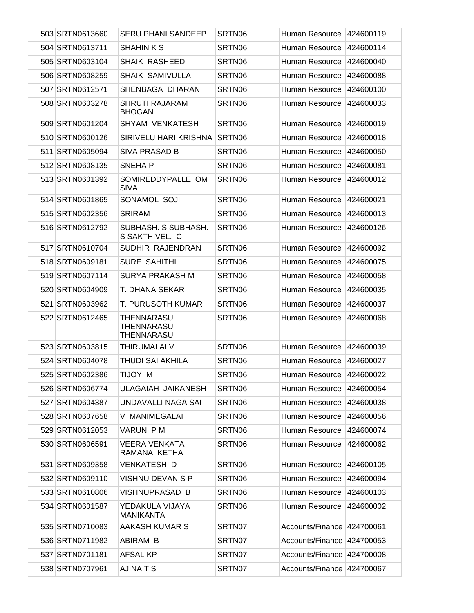| 503 SRTN0613660 | <b>SERU PHANI SANDEEP</b>              | SRTN06 | Human Resource             | 424600119 |
|-----------------|----------------------------------------|--------|----------------------------|-----------|
| 504 SRTN0613711 | <b>SHAHIN K S</b>                      | SRTN06 | Human Resource             | 424600114 |
| 505 SRTN0603104 | <b>SHAIK RASHEED</b>                   | SRTN06 | Human Resource             | 424600040 |
| 506 SRTN0608259 | <b>SHAIK SAMIVULLA</b>                 | SRTN06 | Human Resource             | 424600088 |
| 507 SRTN0612571 | SHENBAGA DHARANI                       | SRTN06 | Human Resource             | 424600100 |
| 508 SRTN0603278 | <b>SHRUTI RAJARAM</b><br><b>BHOGAN</b> | SRTN06 | Human Resource             | 424600033 |
| 509 SRTN0601204 | <b>SHYAM VENKATESH</b>                 | SRTN06 | Human Resource             | 424600019 |
| 510 SRTN0600126 | SIRIVELU HARI KRISHNA                  | SRTN06 | Human Resource             | 424600018 |
| 511 SRTN0605094 | SIVA PRASAD B                          | SRTN06 | Human Resource             | 424600050 |
| 512 SRTN0608135 | <b>SNEHAP</b>                          | SRTN06 | Human Resource             | 424600081 |
| 513 SRTN0601392 | SOMIREDDYPALLE OM<br><b>SIVA</b>       | SRTN06 | Human Resource             | 424600012 |
| 514 SRTN0601865 | SONAMOL SOJI                           | SRTN06 | Human Resource             | 424600021 |
| 515 SRTN0602356 | <b>SRIRAM</b>                          | SRTN06 | Human Resource             | 424600013 |
| 516 SRTN0612792 | SUBHASH. S SUBHASH.<br>S SAKTHIVEL. C  | SRTN06 | Human Resource             | 424600126 |
| 517 SRTN0610704 | SUDHIR RAJENDRAN                       | SRTN06 | Human Resource             | 424600092 |
| 518 SRTN0609181 | <b>SURE SAHITHI</b>                    | SRTN06 | Human Resource             | 424600075 |
| 519 SRTN0607114 | SURYA PRAKASH M                        | SRTN06 | Human Resource             | 424600058 |
| 520 SRTN0604909 | T. DHANA SEKAR                         | SRTN06 | Human Resource             | 424600035 |
| 521 SRTN0603962 | T. PURUSOTH KUMAR                      | SRTN06 | Human Resource             | 424600037 |
| 522 SRTN0612465 | THENNARASU<br>THENNARASU<br>THENNARASU | SRTN06 | Human Resource             | 424600068 |
| 523 SRTN0603815 | THIRUMALAI V                           | SRTN06 | Human Resource             | 424600039 |
| 524 SRTN0604078 | <b>THUDI SAI AKHILA</b>                | SRTN06 | Human Resource             | 424600027 |
| 525 SRTN0602386 | TIJOY M                                | SRTN06 | Human Resource             | 424600022 |
| 526 SRTN0606774 | ULAGAIAH JAIKANESH                     | SRTN06 | Human Resource             | 424600054 |
| 527 SRTN0604387 | UNDAVALLI NAGA SAI                     | SRTN06 | Human Resource             | 424600038 |
| 528 SRTN0607658 | V MANIMEGALAI                          | SRTN06 | Human Resource             | 424600056 |
| 529 SRTN0612053 | VARUN P M                              | SRTN06 | Human Resource             | 424600074 |
| 530 SRTN0606591 | <b>VEERA VENKATA</b><br>RAMANA KETHA   | SRTN06 | Human Resource             | 424600062 |
| 531 SRTN0609358 | VENKATESH D                            | SRTN06 | Human Resource             | 424600105 |
| 532 SRTN0609110 | VISHNU DEVAN S P                       | SRTN06 | Human Resource             | 424600094 |
| 533 SRTN0610806 | VISHNUPRASAD B                         | SRTN06 | Human Resource             | 424600103 |
| 534 SRTN0601587 | YEDAKULA VIJAYA<br><b>MANIKANTA</b>    | SRTN06 | Human Resource             | 424600002 |
| 535 SRTN0710083 | AAKASH KUMAR S                         | SRTN07 | Accounts/Finance           | 424700061 |
| 536 SRTN0711982 | ABIRAM B                               | SRTN07 | Accounts/Finance           | 424700053 |
| 537 SRTN0701181 | <b>AFSAL KP</b>                        | SRTN07 | Accounts/Finance           | 424700008 |
| 538 SRTN0707961 | <b>AJINATS</b>                         | SRTN07 | Accounts/Finance 424700067 |           |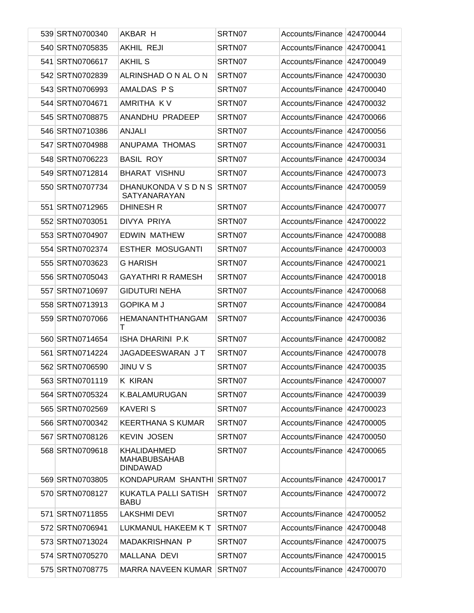| 539 SRTN0700340 | AKBAR H                                               | SRTN07 | Accounts/Finance 424700044 |           |
|-----------------|-------------------------------------------------------|--------|----------------------------|-----------|
| 540 SRTN0705835 | <b>AKHIL REJI</b>                                     | SRTN07 | Accounts/Finance           | 424700041 |
| 541 SRTN0706617 | <b>AKHIL S</b>                                        | SRTN07 | Accounts/Finance           | 424700049 |
| 542 SRTN0702839 | ALRINSHAD ON AL ON                                    | SRTN07 | Accounts/Finance           | 424700030 |
| 543 SRTN0706993 | AMALDAS P S                                           | SRTN07 | Accounts/Finance           | 424700040 |
| 544 SRTN0704671 | AMRITHA KV                                            | SRTN07 | Accounts/Finance           | 424700032 |
| 545 SRTN0708875 | ANANDHU PRADEEP                                       | SRTN07 | Accounts/Finance           | 424700066 |
| 546 SRTN0710386 | <b>ANJALI</b>                                         | SRTN07 | Accounts/Finance           | 424700056 |
| 547 SRTN0704988 | ANUPAMA THOMAS                                        | SRTN07 | Accounts/Finance           | 424700031 |
| 548 SRTN0706223 | <b>BASIL ROY</b>                                      | SRTN07 | Accounts/Finance           | 424700034 |
| 549 SRTN0712814 | <b>BHARAT VISHNU</b>                                  | SRTN07 | Accounts/Finance           | 424700073 |
| 550 SRTN0707734 | DHANUKONDA V S D N S<br>SATYANARAYAN                  | SRTN07 | Accounts/Finance           | 424700059 |
| 551 SRTN0712965 | <b>DHINESH R</b>                                      | SRTN07 | Accounts/Finance 424700077 |           |
| 552 SRTN0703051 | <b>DIVYA PRIYA</b>                                    | SRTN07 | Accounts/Finance           | 424700022 |
| 553 SRTN0704907 | <b>EDWIN MATHEW</b>                                   | SRTN07 | Accounts/Finance           | 424700088 |
| 554 SRTN0702374 | <b>ESTHER MOSUGANTI</b>                               | SRTN07 | Accounts/Finance           | 424700003 |
| 555 SRTN0703623 | <b>G HARISH</b>                                       | SRTN07 | Accounts/Finance           | 424700021 |
| 556 SRTN0705043 | <b>GAYATHRI R RAMESH</b>                              | SRTN07 | Accounts/Finance           | 424700018 |
| 557 SRTN0710697 | <b>GIDUTURI NEHA</b>                                  | SRTN07 | Accounts/Finance           | 424700068 |
| 558 SRTN0713913 | <b>GOPIKA M J</b>                                     | SRTN07 | Accounts/Finance           | 424700084 |
| 559 SRTN0707066 | HEMANANTHTHANGAM<br>т                                 | SRTN07 | Accounts/Finance           | 424700036 |
| 560 SRTN0714654 | ISHA DHARINI P.K                                      | SRTN07 | Accounts/Finance           | 424700082 |
| 561 SRTN0714224 | JAGADEESWARAN JT                                      | SRTN07 | Accounts/Finance           | 424700078 |
| 562 SRTN0706590 | <b>JINU V S</b>                                       | SRTN07 | Accounts/Finance 424700035 |           |
| 563 SRTN0701119 | <b>K KIRAN</b>                                        | SRTN07 | Accounts/Finance 424700007 |           |
| 564 SRTN0705324 | <b>K.BALAMURUGAN</b>                                  | SRTN07 | Accounts/Finance           | 424700039 |
| 565 SRTN0702569 | <b>KAVERIS</b>                                        | SRTN07 | Accounts/Finance 424700023 |           |
| 566 SRTN0700342 | <b>KEERTHANA S KUMAR</b>                              | SRTN07 | Accounts/Finance           | 424700005 |
| 567 SRTN0708126 | <b>KEVIN JOSEN</b>                                    | SRTN07 | Accounts/Finance 424700050 |           |
| 568 SRTN0709618 | KHALIDAHMED<br><b>MAHABUBSAHAB</b><br><b>DINDAWAD</b> | SRTN07 | Accounts/Finance           | 424700065 |
| 569 SRTN0703805 | KONDAPURAM SHANTHI SRTN07                             |        | Accounts/Finance           | 424700017 |
| 570 SRTN0708127 | KUKATLA PALLI SATISH<br><b>BABU</b>                   | SRTN07 | Accounts/Finance           | 424700072 |
| 571 SRTN0711855 | <b>LAKSHMI DEVI</b>                                   | SRTN07 | Accounts/Finance           | 424700052 |
| 572 SRTN0706941 | LUKMANUL HAKEEM KT                                    | SRTN07 | Accounts/Finance           | 424700048 |
| 573 SRTN0713024 | MADAKRISHNAN P                                        | SRTN07 | Accounts/Finance           | 424700075 |
| 574 SRTN0705270 | MALLANA DEVI                                          | SRTN07 | Accounts/Finance 424700015 |           |
| 575 SRTN0708775 | MARRA NAVEEN KUMAR                                    | SRTN07 | Accounts/Finance 424700070 |           |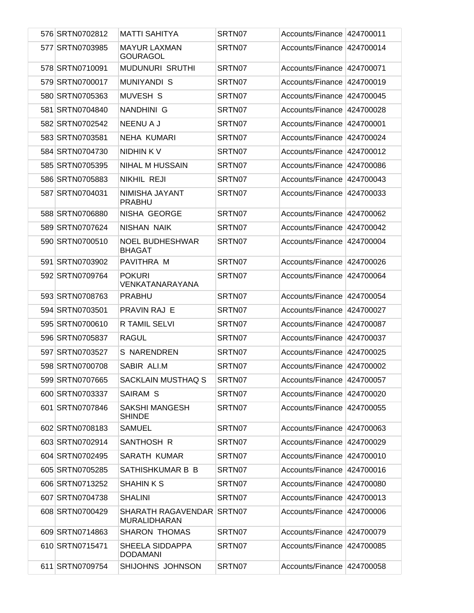| 576 SRTN0702812 | MATTI SAHITYA                                           | SRTN07 | Accounts/Finance 424700011 |           |
|-----------------|---------------------------------------------------------|--------|----------------------------|-----------|
| 577 SRTN0703985 | <b>MAYUR LAXMAN</b><br><b>GOURAGOL</b>                  | SRTN07 | Accounts/Finance 424700014 |           |
| 578 SRTN0710091 | <b>MUDUNURI SRUTHI</b>                                  | SRTN07 | Accounts/Finance 424700071 |           |
| 579 SRTN0700017 | <b>MUNIYANDI S</b>                                      | SRTN07 | Accounts/Finance 424700019 |           |
| 580 SRTN0705363 | MUVESH S                                                | SRTN07 | Accounts/Finance 424700045 |           |
| 581 SRTN0704840 | NANDHINI G                                              | SRTN07 | Accounts/Finance 424700028 |           |
| 582 SRTN0702542 | <b>NEENU A J</b>                                        | SRTN07 | Accounts/Finance 424700001 |           |
| 583 SRTN0703581 | <b>NEHA KUMARI</b>                                      | SRTN07 | Accounts/Finance 424700024 |           |
| 584 SRTN0704730 | NIDHIN K V                                              | SRTN07 | Accounts/Finance 424700012 |           |
| 585 SRTN0705395 | NIHAL M HUSSAIN                                         | SRTN07 | Accounts/Finance 424700086 |           |
| 586 SRTN0705883 | NIKHIL REJI                                             | SRTN07 | Accounts/Finance 424700043 |           |
| 587 SRTN0704031 | NIMISHA JAYANT<br><b>PRABHU</b>                         | SRTN07 | Accounts/Finance 424700033 |           |
| 588 SRTN0706880 | NISHA GEORGE                                            | SRTN07 | Accounts/Finance 424700062 |           |
| 589 SRTN0707624 | NISHAN NAIK                                             | SRTN07 | Accounts/Finance 424700042 |           |
| 590 SRTN0700510 | <b>NOEL BUDHESHWAR</b><br><b>BHAGAT</b>                 | SRTN07 | Accounts/Finance           | 424700004 |
| 591 SRTN0703902 | PAVITHRA M                                              | SRTN07 | Accounts/Finance 424700026 |           |
| 592 SRTN0709764 | <b>POKURI</b><br>VENKATANARAYANA                        | SRTN07 | Accounts/Finance 424700064 |           |
| 593 SRTN0708763 | <b>PRABHU</b>                                           | SRTN07 | Accounts/Finance 424700054 |           |
| 594 SRTN0703501 | <b>PRAVIN RAJ E</b>                                     | SRTN07 | Accounts/Finance 424700027 |           |
| 595 SRTN0700610 | R TAMIL SELVI                                           | SRTN07 | Accounts/Finance 424700087 |           |
| 596 SRTN0705837 | RAGUL                                                   | SRTN07 | Accounts/Finance 424700037 |           |
| 597 SRTN0703527 | <b>S NARENDREN</b>                                      | SRTN07 | Accounts/Finance 424700025 |           |
| 598 SRTN0700708 | SABIR ALI.M                                             | SRTN07 | Accounts/Finance 424700002 |           |
| 599 SRTN0707665 | <b>SACKLAIN MUSTHAQ S</b>                               | SRTN07 | Accounts/Finance 424700057 |           |
| 600 SRTN0703337 | SAIRAM S                                                | SRTN07 | Accounts/Finance 424700020 |           |
| 601 SRTN0707846 | SAKSHI MANGESH<br><b>SHINDE</b>                         | SRTN07 | Accounts/Finance 424700055 |           |
| 602 SRTN0708183 | <b>SAMUEL</b>                                           | SRTN07 | Accounts/Finance 424700063 |           |
| 603 SRTN0702914 | SANTHOSH R                                              | SRTN07 | Accounts/Finance 424700029 |           |
| 604 SRTN0702495 | SARATH KUMAR                                            | SRTN07 | Accounts/Finance 424700010 |           |
| 605 SRTN0705285 | SATHISHKUMAR B B                                        | SRTN07 | Accounts/Finance 424700016 |           |
| 606 SRTN0713252 | <b>SHAHIN K S</b>                                       | SRTN07 | Accounts/Finance 424700080 |           |
| 607 SRTN0704738 | <b>SHALINI</b>                                          | SRTN07 | Accounts/Finance 424700013 |           |
| 608 SRTN0700429 | <b>SHARATH RAGAVENDAR SRTN07</b><br><b>MURALIDHARAN</b> |        | Accounts/Finance 424700006 |           |
| 609 SRTN0714863 | <b>SHARON THOMAS</b>                                    | SRTN07 | Accounts/Finance 424700079 |           |
| 610 SRTN0715471 | SHEELA SIDDAPPA<br><b>DODAMANI</b>                      | SRTN07 | Accounts/Finance 424700085 |           |
| 611 SRTN0709754 | SHIJOHNS JOHNSON                                        | SRTN07 | Accounts/Finance 424700058 |           |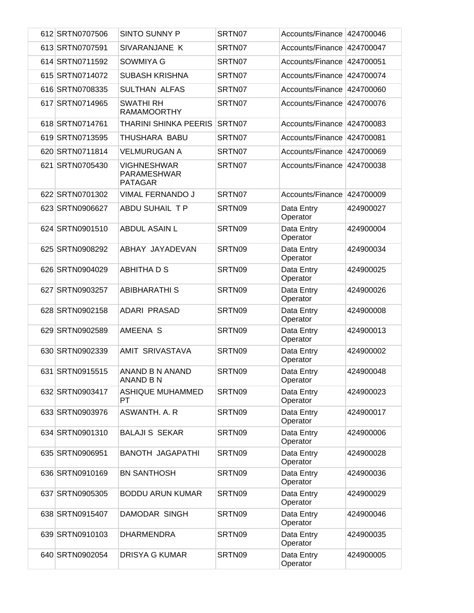| 612 SRTN0707506 | <b>SINTO SUNNY P</b>                                | SRTN07 | Accounts/Finance           | 424700046 |
|-----------------|-----------------------------------------------------|--------|----------------------------|-----------|
| 613 SRTN0707591 | SIVARANJANE K                                       | SRTN07 | Accounts/Finance           | 424700047 |
| 614 SRTN0711592 | <b>SOWMIYA G</b>                                    | SRTN07 | Accounts/Finance           | 424700051 |
| 615 SRTN0714072 | <b>SUBASH KRISHNA</b>                               | SRTN07 | Accounts/Finance           | 424700074 |
| 616 SRTN0708335 | <b>SULTHAN ALFAS</b>                                | SRTN07 | Accounts/Finance           | 424700060 |
| 617 SRTN0714965 | <b>SWATHI RH</b><br><b>RAMAMOORTHY</b>              | SRTN07 | Accounts/Finance           | 424700076 |
| 618 SRTN0714761 | <b>THARINI SHINKA PEERIS</b>                        | SRTN07 | Accounts/Finance           | 424700083 |
| 619 SRTN0713595 | THUSHARA BABU                                       | SRTN07 | Accounts/Finance           | 424700081 |
| 620 SRTN0711814 | <b>VELMURUGAN A</b>                                 | SRTN07 | Accounts/Finance           | 424700069 |
| 621 SRTN0705430 | <b>VIGHNESHWAR</b><br>PARAMESHWAR<br><b>PATAGAR</b> | SRTN07 | Accounts/Finance 424700038 |           |
| 622 SRTN0701302 | <b>VIMAL FERNANDO J</b>                             | SRTN07 | Accounts/Finance 424700009 |           |
| 623 SRTN0906627 | <b>ABDU SUHAIL TP</b>                               | SRTN09 | Data Entry<br>Operator     | 424900027 |
| 624 SRTN0901510 | <b>ABDUL ASAIN L</b>                                | SRTN09 | Data Entry<br>Operator     | 424900004 |
| 625 SRTN0908292 | ABHAY JAYADEVAN                                     | SRTN09 | Data Entry<br>Operator     | 424900034 |
| 626 SRTN0904029 | <b>ABHITHA D S</b>                                  | SRTN09 | Data Entry<br>Operator     | 424900025 |
| 627 SRTN0903257 | <b>ABIBHARATHI S</b>                                | SRTN09 | Data Entry<br>Operator     | 424900026 |
| 628 SRTN0902158 | <b>ADARI PRASAD</b>                                 | SRTN09 | Data Entry<br>Operator     | 424900008 |
| 629 SRTN0902589 | AMEENA S                                            | SRTN09 | Data Entry<br>Operator     | 424900013 |
| 630 SRTN0902339 | <b>AMIT SRIVASTAVA</b>                              | SRTN09 | Data Entry<br>Operator     | 424900002 |
| 631 SRTN0915515 | ANAND B N ANAND<br><b>ANAND B N</b>                 | SRTN09 | Data Entry<br>Operator     | 424900048 |
| 632 SRTN0903417 | <b>ASHIQUE MUHAMMED</b><br>PT.                      | SRTN09 | Data Entry<br>Operator     | 424900023 |
| 633 SRTN0903976 | ASWANTH. A. R                                       | SRTN09 | Data Entry<br>Operator     | 424900017 |
| 634 SRTN0901310 | <b>BALAJI S SEKAR</b>                               | SRTN09 | Data Entry<br>Operator     | 424900006 |
| 635 SRTN0906951 | <b>BANOTH JAGAPATHI</b>                             | SRTN09 | Data Entry<br>Operator     | 424900028 |
| 636 SRTN0910169 | <b>BN SANTHOSH</b>                                  | SRTN09 | Data Entry<br>Operator     | 424900036 |
| 637 SRTN0905305 | <b>BODDU ARUN KUMAR</b>                             | SRTN09 | Data Entry<br>Operator     | 424900029 |
| 638 SRTN0915407 | DAMODAR SINGH                                       | SRTN09 | Data Entry<br>Operator     | 424900046 |
| 639 SRTN0910103 | <b>DHARMENDRA</b>                                   | SRTN09 | Data Entry<br>Operator     | 424900035 |
| 640 SRTN0902054 | <b>DRISYA G KUMAR</b>                               | SRTN09 | Data Entry<br>Operator     | 424900005 |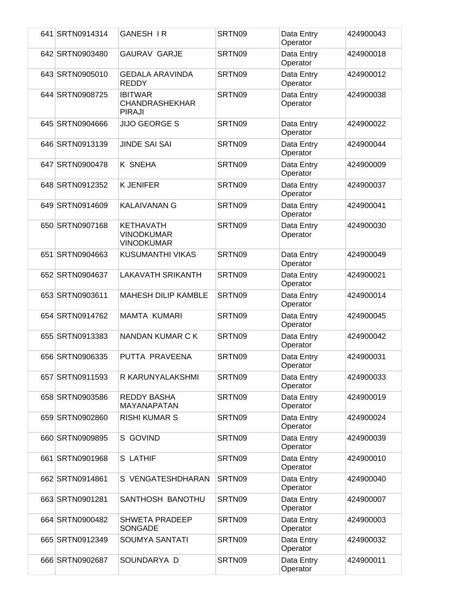| 641 SRTN0914314 | <b>GANESH IR</b>                                           | SRTN09 | Data Entry<br>Operator | 424900043 |
|-----------------|------------------------------------------------------------|--------|------------------------|-----------|
| 642 SRTN0903480 | <b>GAURAV GARJE</b>                                        | SRTN09 | Data Entry<br>Operator | 424900018 |
| 643 SRTN0905010 | <b>GEDALA ARAVINDA</b><br><b>REDDY</b>                     | SRTN09 | Data Entry<br>Operator | 424900012 |
| 644 SRTN0908725 | <b>IBITWAR</b><br><b>CHANDRASHEKHAR</b><br><b>PIRAJI</b>   | SRTN09 | Data Entry<br>Operator | 424900038 |
| 645 SRTN0904666 | <b>JIJO GEORGE S</b>                                       | SRTN09 | Data Entry<br>Operator | 424900022 |
| 646 SRTN0913139 | <b>JINDE SAI SAI</b>                                       | SRTN09 | Data Entry<br>Operator | 424900044 |
| 647 SRTN0900478 | <b>K SNEHA</b>                                             | SRTN09 | Data Entry<br>Operator | 424900009 |
| 648 SRTN0912352 | <b>K JENIFER</b>                                           | SRTN09 | Data Entry<br>Operator | 424900037 |
| 649 SRTN0914609 | <b>KALAIVANAN G</b>                                        | SRTN09 | Data Entry<br>Operator | 424900041 |
| 650 SRTN0907168 | <b>KETHAVATH</b><br><b>VINODKUMAR</b><br><b>VINODKUMAR</b> | SRTN09 | Data Entry<br>Operator | 424900030 |
| 651 SRTN0904663 | <b>KUSUMANTHI VIKAS</b>                                    | SRTN09 | Data Entry<br>Operator | 424900049 |
| 652 SRTN0904637 | <b>LAKAVATH SRIKANTH</b>                                   | SRTN09 | Data Entry<br>Operator | 424900021 |
| 653 SRTN0903611 | <b>MAHESH DILIP KAMBLE</b>                                 | SRTN09 | Data Entry<br>Operator | 424900014 |
| 654 SRTN0914762 | <b>MAMTA KUMARI</b>                                        | SRTN09 | Data Entry<br>Operator | 424900045 |
| 655 SRTN0913383 | <b>NANDAN KUMAR C K</b>                                    | SRTN09 | Data Entry<br>Operator | 424900042 |
| 656 SRTN0906335 | PUTTA PRAVEENA                                             | SRTN09 | Data Entry<br>Operator | 424900031 |
| 657 SRTN0911593 | R KARUNYALAKSHMI                                           | SRTN09 | Data Entry<br>Operator | 424900033 |
| 658 SRTN0903586 | <b>REDDY BASHA</b><br>MAYANAPATAN                          | SRTN09 | Data Entry<br>Operator | 424900019 |
| 659 SRTN0902860 | <b>RISHI KUMAR S</b>                                       | SRTN09 | Data Entry<br>Operator | 424900024 |
| 660 SRTN0909895 | S GOVIND                                                   | SRTN09 | Data Entry<br>Operator | 424900039 |
| 661 SRTN0901968 | S LATHIF                                                   | SRTN09 | Data Entry<br>Operator | 424900010 |
| 662 SRTN0914861 | S VENGATESHDHARAN                                          | SRTN09 | Data Entry<br>Operator | 424900040 |
| 663 SRTN0901281 | SANTHOSH BANOTHU                                           | SRTN09 | Data Entry<br>Operator | 424900007 |
| 664 SRTN0900482 | <b>SHWETA PRADEEP</b><br><b>SONGADE</b>                    | SRTN09 | Data Entry<br>Operator | 424900003 |
| 665 SRTN0912349 | <b>SOUMYA SANTATI</b>                                      | SRTN09 | Data Entry<br>Operator | 424900032 |
| 666 SRTN0902687 | SOUNDARYA D                                                | SRTN09 | Data Entry<br>Operator | 424900011 |